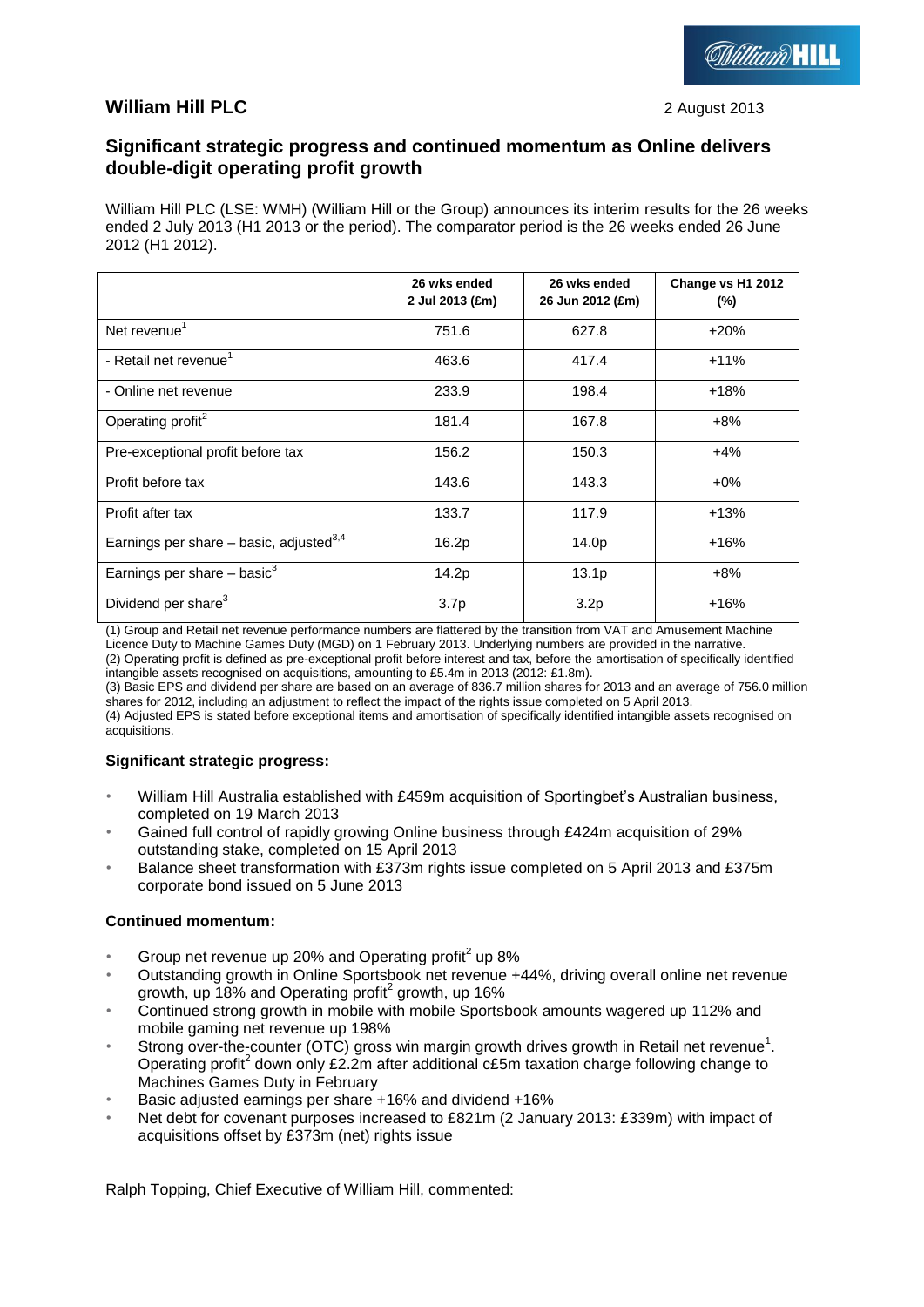

# **William Hill PLC** 2 August 2013

## **Significant strategic progress and continued momentum as Online delivers double-digit operating profit growth**

William Hill PLC (LSE: WMH) (William Hill or the Group) announces its interim results for the 26 weeks ended 2 July 2013 (H1 2013 or the period). The comparator period is the 26 weeks ended 26 June 2012 (H1 2012).

|                                                       | 26 wks ended<br>2 Jul 2013 (£m) | 26 wks ended<br>26 Jun 2012 (£m) | Change vs H1 2012<br>$(\%)$ |
|-------------------------------------------------------|---------------------------------|----------------------------------|-----------------------------|
| Net revenue <sup>1</sup>                              | 751.6                           | 627.8                            | $+20%$                      |
| - Retail net revenue <sup>1</sup>                     | 463.6                           | 417.4                            | $+11%$                      |
| - Online net revenue                                  | 233.9                           | 198.4                            | +18%                        |
| Operating profit <sup>2</sup>                         | 181.4                           | 167.8                            | $+8%$                       |
| Pre-exceptional profit before tax                     | 156.2                           | 150.3                            | $+4%$                       |
| Profit before tax                                     | 143.6                           | 143.3                            | $+0\%$                      |
| Profit after tax                                      | 133.7                           | 117.9                            | $+13%$                      |
| Earnings per share $-$ basic, adjusted <sup>3,4</sup> | 16.2p                           | 14.0p                            | $+16%$                      |
| Earnings per share $-$ basic <sup>3</sup>             | 14.2p                           | 13.1 <sub>p</sub>                | +8%                         |
| Dividend per share <sup>3</sup>                       | 3.7 <sub>p</sub>                | 3.2 <sub>p</sub>                 | $+16%$                      |

(1) Group and Retail net revenue performance numbers are flattered by the transition from VAT and Amusement Machine Licence Duty to Machine Games Duty (MGD) on 1 February 2013. Underlying numbers are provided in the narrative. (2) Operating profit is defined as pre-exceptional profit before interest and tax, before the amortisation of specifically identified intangible assets recognised on acquisitions, amounting to £5.4m in 2013 (2012: £1.8m).

(3) Basic EPS and dividend per share are based on an average of 836.7 million shares for 2013 and an average of 756.0 million shares for 2012, including an adjustment to reflect the impact of the rights issue completed on 5 April 2013. (4) Adjusted EPS is stated before exceptional items and amortisation of specifically identified intangible assets recognised on

### **Significant strategic progress:**

acquisitions.

- William Hill Australia established with £459m acquisition of Sportingbet's Australian business, completed on 19 March 2013
- Gained full control of rapidly growing Online business through £424m acquisition of 29% outstanding stake, completed on 15 April 2013
- Balance sheet transformation with £373m rights issue completed on 5 April 2013 and £375m corporate bond issued on 5 June 2013

### **Continued momentum:**

- Group net revenue up 20% and Operating profit<sup>2</sup> up 8%
- Outstanding growth in Online Sportsbook net revenue +44%, driving overall online net revenue growth, up 18% and Operating profit<sup>2</sup> growth, up 16%
- Continued strong growth in mobile with mobile Sportsbook amounts wagered up 112% and mobile gaming net revenue up 198%
- Strong over-the-counter (OTC) gross win margin growth drives growth in Retail net revenue<sup>1</sup>. Operating profit<sup>2</sup> down only £2.2m after additional c£5m taxation charge following change to Machines Games Duty in February
- Basic adjusted earnings per share +16% and dividend +16%
- Net debt for covenant purposes increased to £821m (2 January 2013: £339m) with impact of acquisitions offset by £373m (net) rights issue

Ralph Topping, Chief Executive of William Hill, commented: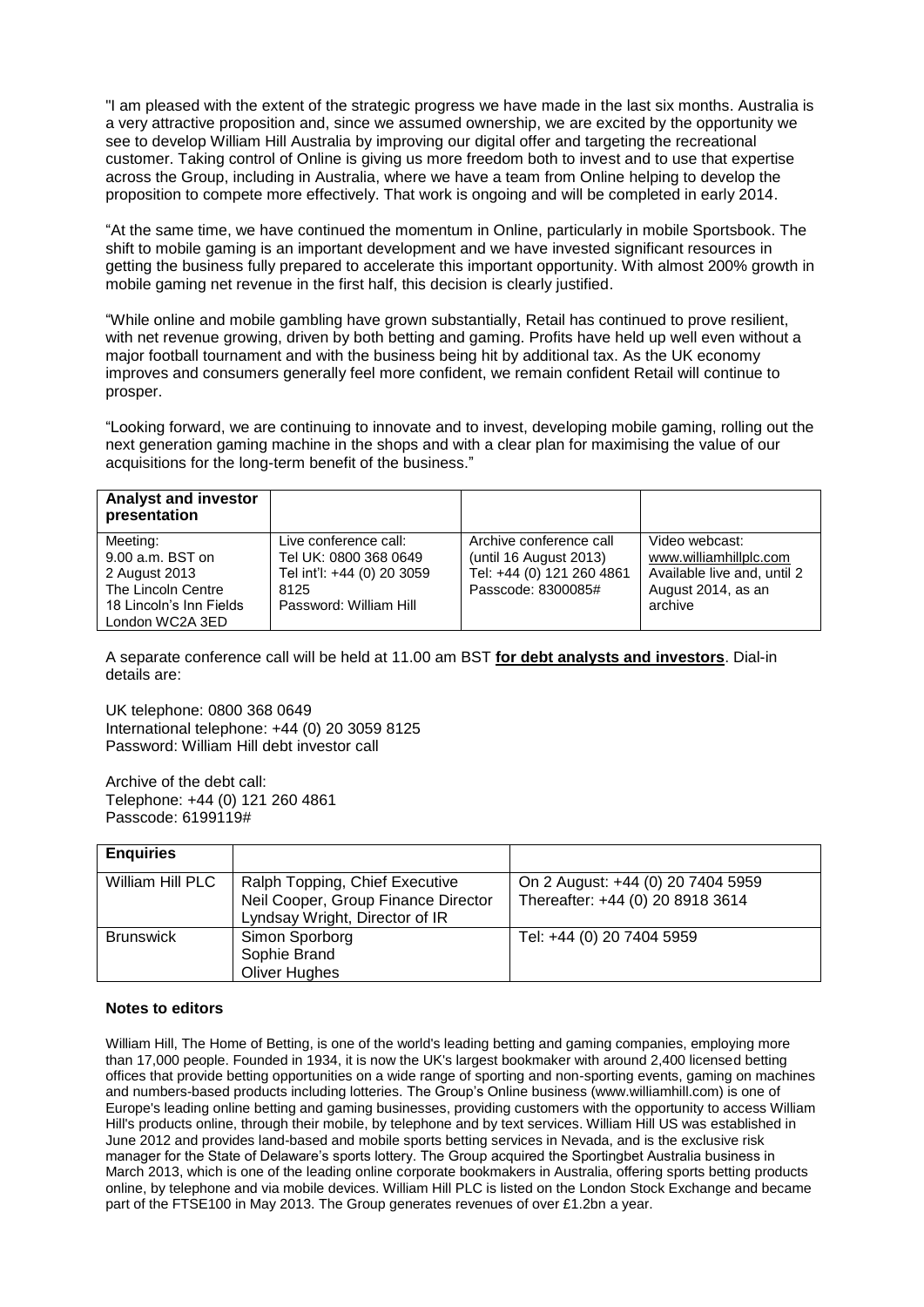"I am pleased with the extent of the strategic progress we have made in the last six months. Australia is a very attractive proposition and, since we assumed ownership, we are excited by the opportunity we see to develop William Hill Australia by improving our digital offer and targeting the recreational customer. Taking control of Online is giving us more freedom both to invest and to use that expertise across the Group, including in Australia, where we have a team from Online helping to develop the proposition to compete more effectively. That work is ongoing and will be completed in early 2014.

"At the same time, we have continued the momentum in Online, particularly in mobile Sportsbook. The shift to mobile gaming is an important development and we have invested significant resources in getting the business fully prepared to accelerate this important opportunity. With almost 200% growth in mobile gaming net revenue in the first half, this decision is clearly justified.

"While online and mobile gambling have grown substantially, Retail has continued to prove resilient, with net revenue growing, driven by both betting and gaming. Profits have held up well even without a major football tournament and with the business being hit by additional tax. As the UK economy improves and consumers generally feel more confident, we remain confident Retail will continue to prosper.

"Looking forward, we are continuing to innovate and to invest, developing mobile gaming, rolling out the next generation gaming machine in the shops and with a clear plan for maximising the value of our acquisitions for the long-term benefit of the business."

| <b>Analyst and investor</b><br>presentation |                            |                           |                             |
|---------------------------------------------|----------------------------|---------------------------|-----------------------------|
| Meeting:                                    | Live conference call:      | Archive conference call   | Video webcast:              |
| 9.00 a.m. BST on                            | Tel UK: 0800 368 0649      | (until 16 August 2013)    | www.williamhillplc.com      |
| 2 August 2013                               | Tel int'l: +44 (0) 20 3059 | Tel: +44 (0) 121 260 4861 | Available live and, until 2 |
| The Lincoln Centre                          | 8125                       | Passcode: 8300085#        | August 2014, as an          |
| 18 Lincoln's Inn Fields                     | Password: William Hill     |                           | archive                     |
| London WC2A 3ED                             |                            |                           |                             |

A separate conference call will be held at 11.00 am BST **for debt analysts and investors**. Dial-in details are:

UK telephone: 0800 368 0649 International telephone: +44 (0) 20 3059 8125 Password: William Hill debt investor call

Archive of the debt call: Telephone: +44 (0) 121 260 4861 Passcode: 6199119#

| <b>Enquiries</b> |                                                                                                         |                                                                       |
|------------------|---------------------------------------------------------------------------------------------------------|-----------------------------------------------------------------------|
| William Hill PLC | Ralph Topping, Chief Executive<br>Neil Cooper, Group Finance Director<br>Lyndsay Wright, Director of IR | On 2 August: +44 (0) 20 7404 5959<br>Thereafter: +44 (0) 20 8918 3614 |
| <b>Brunswick</b> | Simon Sporborg<br>Sophie Brand<br><b>Oliver Hughes</b>                                                  | Tel: +44 (0) 20 7404 5959                                             |

#### **Notes to editors**

William Hill, The Home of Betting, is one of the world's leading betting and gaming companies, employing more than 17,000 people. Founded in 1934, it is now the UK's largest bookmaker with around 2,400 licensed betting offices that provide betting opportunities on a wide range of sporting and non-sporting events, gaming on machines and numbers-based products including lotteries. The Group's Online business [\(www.williamhill.com\)](http://www.williamhill.com/) is one of Europe's leading online betting and gaming businesses, providing customers with the opportunity to access William Hill's products online, through their mobile, by telephone and by text services. William Hill US was established in June 2012 and provides land-based and mobile sports betting services in Nevada, and is the exclusive risk manager for the State of Delaware's sports lottery. The Group acquired the Sportingbet Australia business in March 2013, which is one of the leading online corporate bookmakers in Australia, offering sports betting products online, by telephone and via mobile devices. William Hill PLC is listed on the London Stock Exchange and became part of the FTSE100 in May 2013. The Group generates revenues of over £1.2bn a year.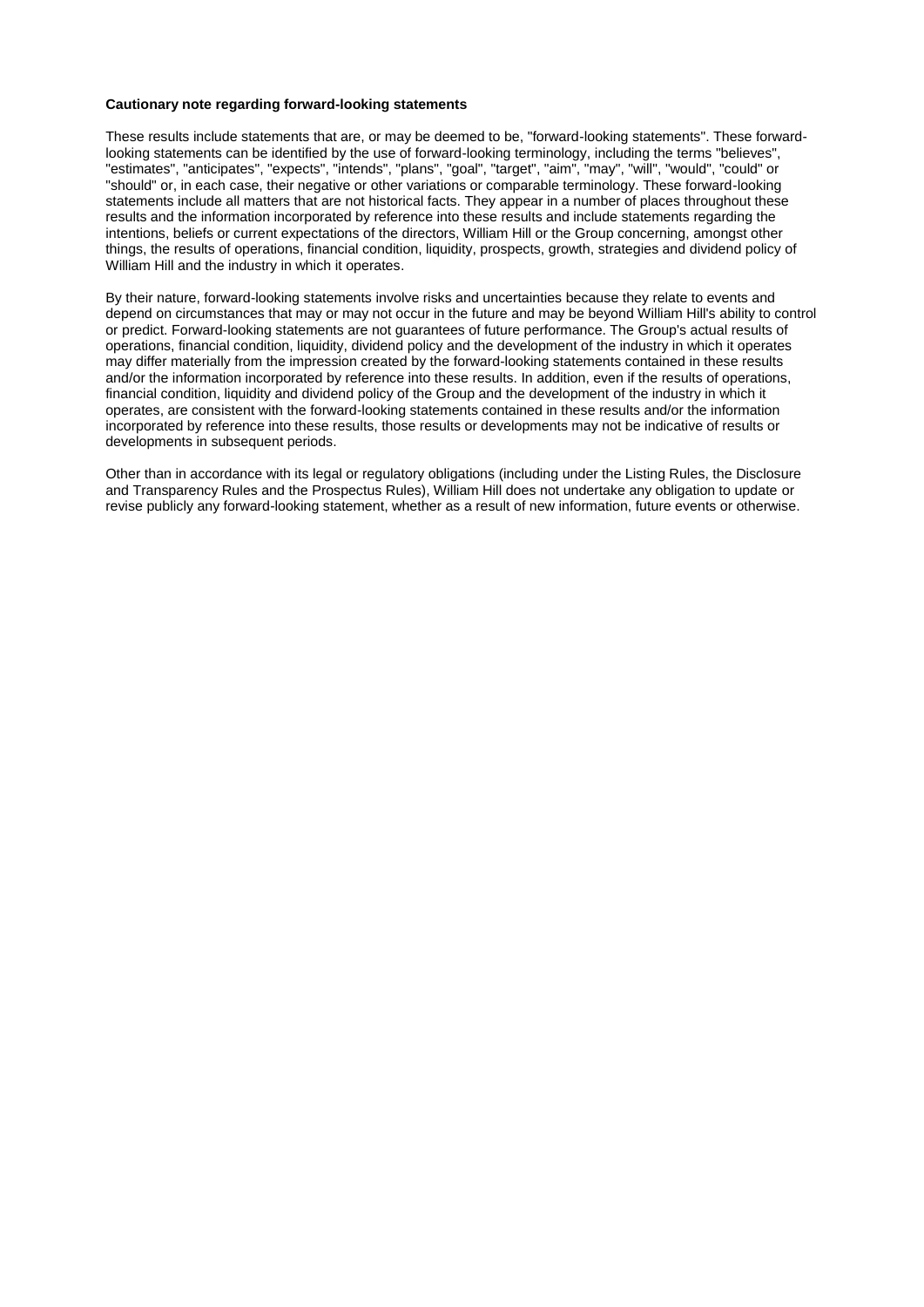#### **Cautionary note regarding forward-looking statements**

These results include statements that are, or may be deemed to be, "forward-looking statements". These forwardlooking statements can be identified by the use of forward-looking terminology, including the terms "believes", "estimates", "anticipates", "expects", "intends", "plans", "goal", "target", "aim", "may", "will", "would", "could" or "should" or, in each case, their negative or other variations or comparable terminology. These forward-looking statements include all matters that are not historical facts. They appear in a number of places throughout these results and the information incorporated by reference into these results and include statements regarding the intentions, beliefs or current expectations of the directors, William Hill or the Group concerning, amongst other things, the results of operations, financial condition, liquidity, prospects, growth, strategies and dividend policy of William Hill and the industry in which it operates.

By their nature, forward-looking statements involve risks and uncertainties because they relate to events and depend on circumstances that may or may not occur in the future and may be beyond William Hill's ability to control or predict. Forward-looking statements are not guarantees of future performance. The Group's actual results of operations, financial condition, liquidity, dividend policy and the development of the industry in which it operates may differ materially from the impression created by the forward-looking statements contained in these results and/or the information incorporated by reference into these results. In addition, even if the results of operations, financial condition, liquidity and dividend policy of the Group and the development of the industry in which it operates, are consistent with the forward-looking statements contained in these results and/or the information incorporated by reference into these results, those results or developments may not be indicative of results or developments in subsequent periods.

Other than in accordance with its legal or regulatory obligations (including under the Listing Rules, the Disclosure and Transparency Rules and the Prospectus Rules), William Hill does not undertake any obligation to update or revise publicly any forward-looking statement, whether as a result of new information, future events or otherwise.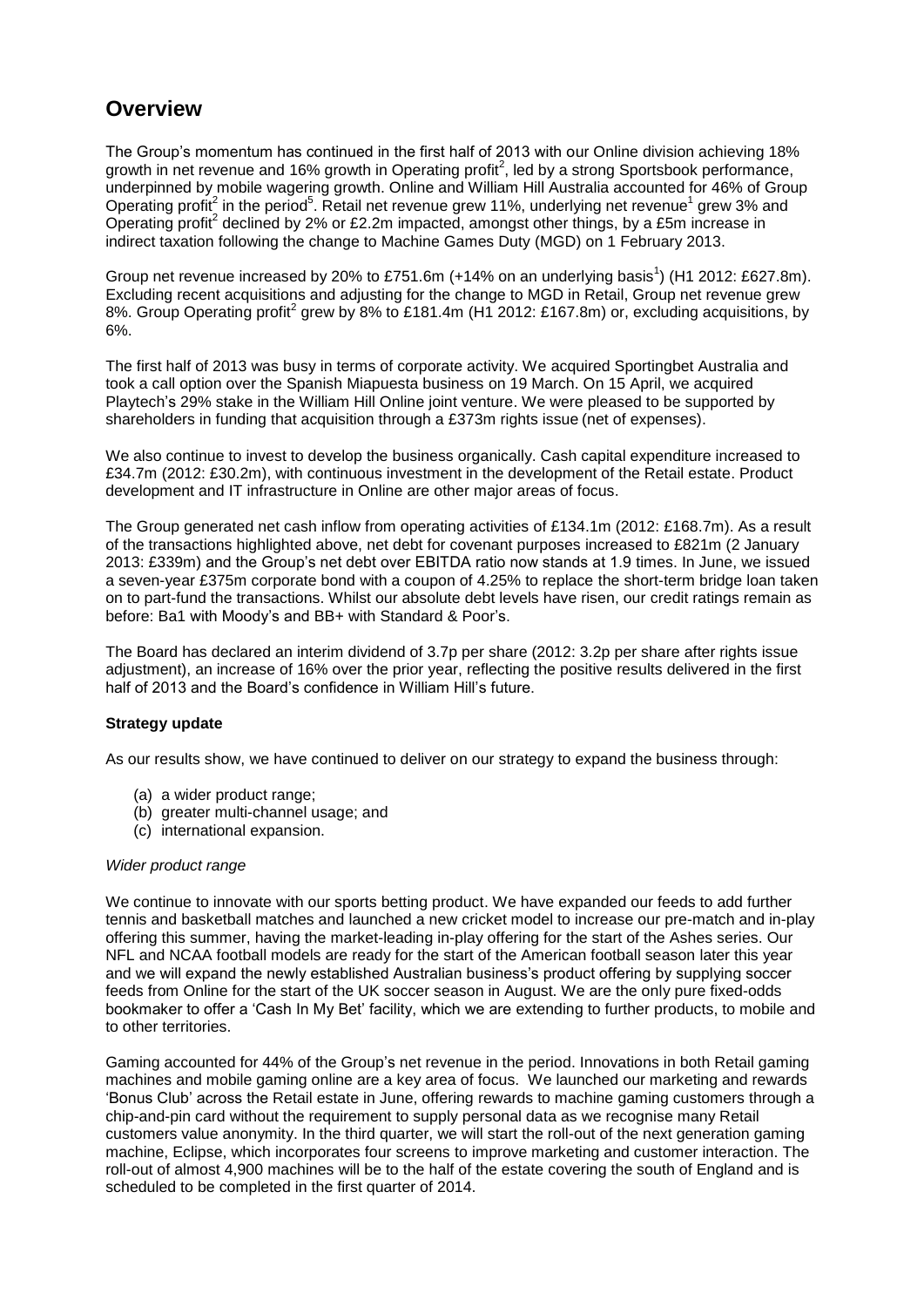# **Overview**

The Group's momentum has continued in the first half of 2013 with our Online division achieving 18% growth in net revenue and 16% growth in Operating profit<sup>2</sup>, led by a strong Sportsbook performance, underpinned by mobile wagering growth. Online and William Hill Australia accounted for 46% of Group Operating profit<sup>2</sup> in the period<sup>5</sup>. Retail net revenue grew 11%, underlying net revenue<sup>1</sup> grew 3% and Operating profit<sup>2</sup> declined by 2% or £2.2m impacted, amongst other things, by a £5m increase in indirect taxation following the change to Machine Games Duty (MGD) on 1 February 2013.

Group net revenue increased by 20% to £751.6m (+14% on an underlying basis<sup>1</sup>) (H1 2012: £627.8m). Excluding recent acquisitions and adjusting for the change to MGD in Retail, Group net revenue grew 8%. Group Operating profit<sup>2</sup> grew by 8% to £181.4m (H1 2012: £167.8m) or, excluding acquisitions, by 6%.

The first half of 2013 was busy in terms of corporate activity. We acquired Sportingbet Australia and took a call option over the Spanish Miapuesta business on 19 March. On 15 April, we acquired Playtech's 29% stake in the William Hill Online joint venture. We were pleased to be supported by shareholders in funding that acquisition through a £373m rights issue (net of expenses).

We also continue to invest to develop the business organically. Cash capital expenditure increased to £34.7m (2012: £30.2m), with continuous investment in the development of the Retail estate. Product development and IT infrastructure in Online are other major areas of focus.

The Group generated net cash inflow from operating activities of £134.1m (2012: £168.7m). As a result of the transactions highlighted above, net debt for covenant purposes increased to £821m (2 January 2013: £339m) and the Group's net debt over EBITDA ratio now stands at 1.9 times. In June, we issued a seven-year £375m corporate bond with a coupon of 4.25% to replace the short-term bridge loan taken on to part-fund the transactions. Whilst our absolute debt levels have risen, our credit ratings remain as before: Ba1 with Moody's and BB+ with Standard & Poor's.

The Board has declared an interim dividend of 3.7p per share (2012: 3.2p per share after rights issue adjustment), an increase of 16% over the prior year, reflecting the positive results delivered in the first half of 2013 and the Board's confidence in William Hill's future.

### **Strategy update**

As our results show, we have continued to deliver on our strategy to expand the business through:

- (a) a wider product range;
- (b) greater multi-channel usage; and
- (c) international expansion.

#### *Wider product range*

We continue to innovate with our sports betting product. We have expanded our feeds to add further tennis and basketball matches and launched a new cricket model to increase our pre-match and in-play offering this summer, having the market-leading in-play offering for the start of the Ashes series. Our NFL and NCAA football models are ready for the start of the American football season later this year and we will expand the newly established Australian business's product offering by supplying soccer feeds from Online for the start of the UK soccer season in August. We are the only pure fixed-odds bookmaker to offer a 'Cash In My Bet' facility, which we are extending to further products, to mobile and to other territories.

Gaming accounted for 44% of the Group's net revenue in the period. Innovations in both Retail gaming machines and mobile gaming online are a key area of focus. We launched our marketing and rewards 'Bonus Club' across the Retail estate in June, offering rewards to machine gaming customers through a chip-and-pin card without the requirement to supply personal data as we recognise many Retail customers value anonymity. In the third quarter, we will start the roll-out of the next generation gaming machine, Eclipse, which incorporates four screens to improve marketing and customer interaction. The roll-out of almost 4,900 machines will be to the half of the estate covering the south of England and is scheduled to be completed in the first quarter of 2014.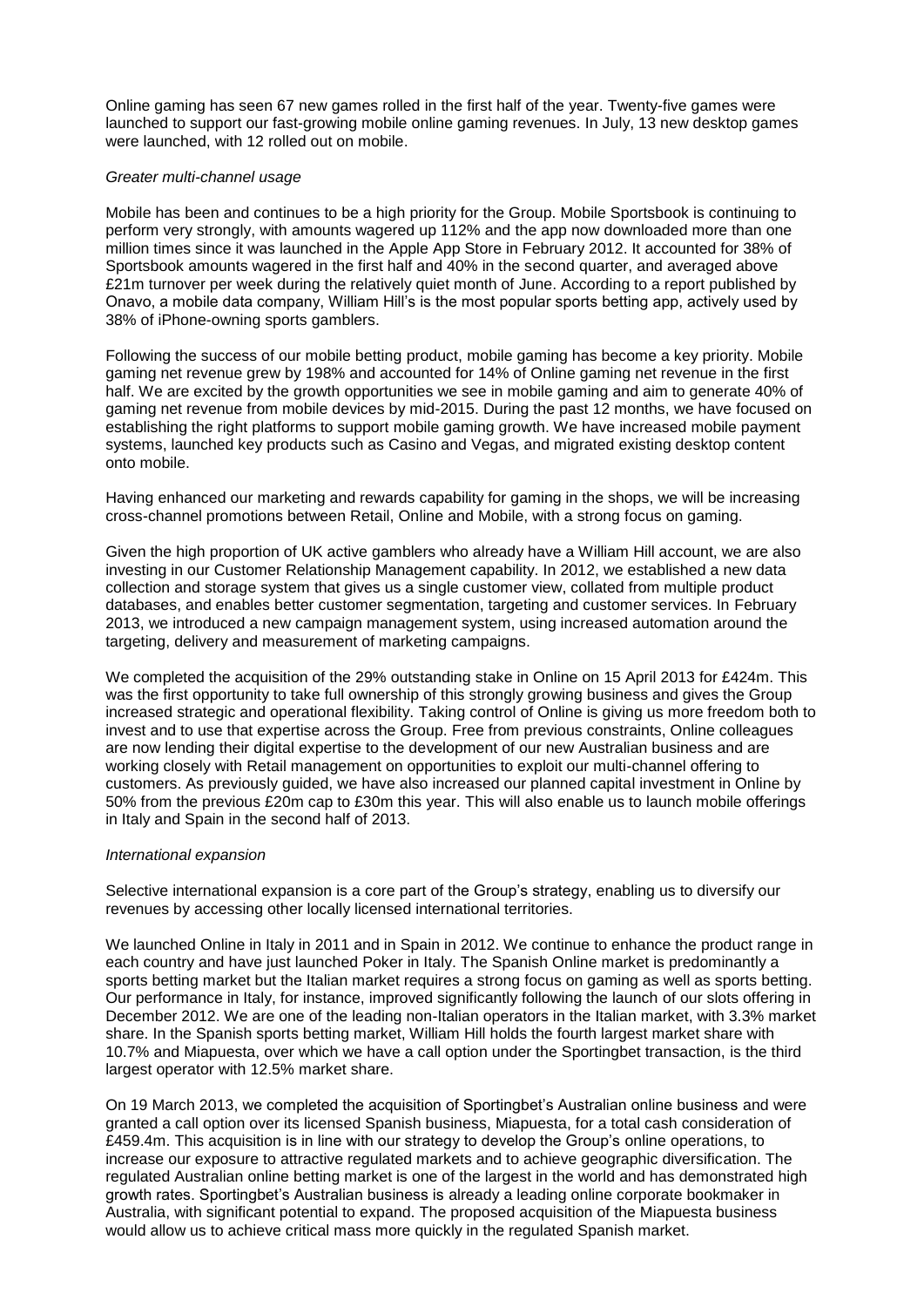Online gaming has seen 67 new games rolled in the first half of the year. Twenty-five games were launched to support our fast-growing mobile online gaming revenues. In July, 13 new desktop games were launched, with 12 rolled out on mobile.

#### *Greater multi-channel usage*

Mobile has been and continues to be a high priority for the Group. Mobile Sportsbook is continuing to perform very strongly, with amounts wagered up 112% and the app now downloaded more than one million times since it was launched in the Apple App Store in February 2012. It accounted for 38% of Sportsbook amounts wagered in the first half and 40% in the second quarter, and averaged above £21m turnover per week during the relatively quiet month of June. According to a report published by Onavo, a mobile data company, William Hill's is the most popular sports betting app, actively used by 38% of iPhone-owning sports gamblers.

Following the success of our mobile betting product, mobile gaming has become a key priority. Mobile gaming net revenue grew by 198% and accounted for 14% of Online gaming net revenue in the first half. We are excited by the growth opportunities we see in mobile gaming and aim to generate 40% of gaming net revenue from mobile devices by mid-2015. During the past 12 months, we have focused on establishing the right platforms to support mobile gaming growth. We have increased mobile payment systems, launched key products such as Casino and Vegas, and migrated existing desktop content onto mobile.

Having enhanced our marketing and rewards capability for gaming in the shops, we will be increasing cross-channel promotions between Retail, Online and Mobile, with a strong focus on gaming.

Given the high proportion of UK active gamblers who already have a William Hill account, we are also investing in our Customer Relationship Management capability. In 2012, we established a new data collection and storage system that gives us a single customer view, collated from multiple product databases, and enables better customer segmentation, targeting and customer services. In February 2013, we introduced a new campaign management system, using increased automation around the targeting, delivery and measurement of marketing campaigns.

We completed the acquisition of the 29% outstanding stake in Online on 15 April 2013 for £424m. This was the first opportunity to take full ownership of this strongly growing business and gives the Group increased strategic and operational flexibility. Taking control of Online is giving us more freedom both to invest and to use that expertise across the Group. Free from previous constraints, Online colleagues are now lending their digital expertise to the development of our new Australian business and are working closely with Retail management on opportunities to exploit our multi-channel offering to customers. As previously guided, we have also increased our planned capital investment in Online by 50% from the previous £20m cap to £30m this year. This will also enable us to launch mobile offerings in Italy and Spain in the second half of 2013.

#### *International expansion*

Selective international expansion is a core part of the Group's strategy, enabling us to diversify our revenues by accessing other locally licensed international territories.

We launched Online in Italy in 2011 and in Spain in 2012. We continue to enhance the product range in each country and have just launched Poker in Italy. The Spanish Online market is predominantly a sports betting market but the Italian market requires a strong focus on gaming as well as sports betting. Our performance in Italy, for instance, improved significantly following the launch of our slots offering in December 2012. We are one of the leading non-Italian operators in the Italian market, with 3.3% market share. In the Spanish sports betting market, William Hill holds the fourth largest market share with 10.7% and Miapuesta, over which we have a call option under the Sportingbet transaction, is the third largest operator with 12.5% market share.

On 19 March 2013, we completed the acquisition of Sportingbet's Australian online business and were granted a call option over its licensed Spanish business, Miapuesta, for a total cash consideration of £459.4m. This acquisition is in line with our strategy to develop the Group's online operations, to increase our exposure to attractive regulated markets and to achieve geographic diversification. The regulated Australian online betting market is one of the largest in the world and has demonstrated high growth rates. Sportingbet's Australian business is already a leading online corporate bookmaker in Australia, with significant potential to expand. The proposed acquisition of the Miapuesta business would allow us to achieve critical mass more quickly in the regulated Spanish market.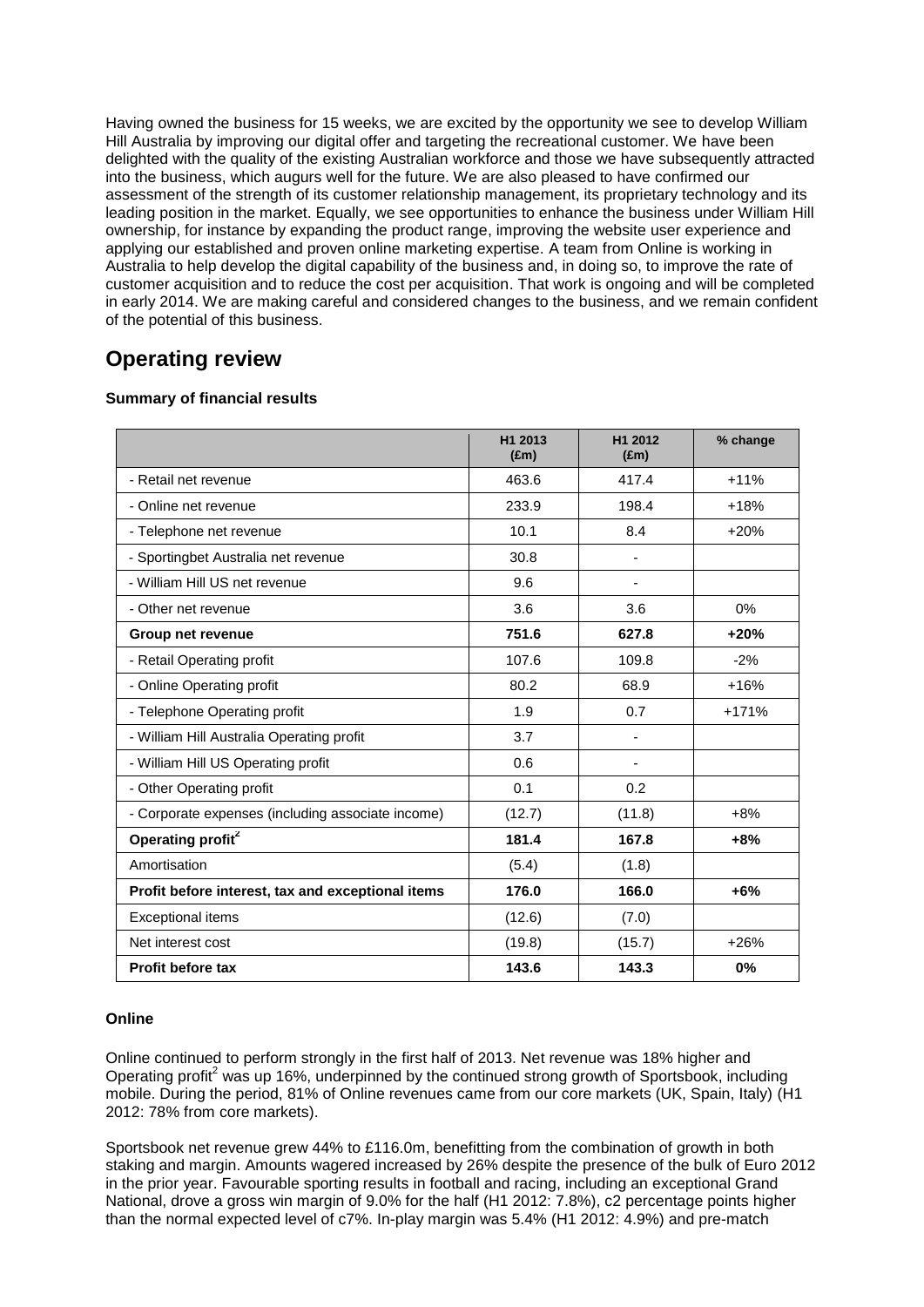Having owned the business for 15 weeks, we are excited by the opportunity we see to develop William Hill Australia by improving our digital offer and targeting the recreational customer. We have been delighted with the quality of the existing Australian workforce and those we have subsequently attracted into the business, which augurs well for the future. We are also pleased to have confirmed our assessment of the strength of its customer relationship management, its proprietary technology and its leading position in the market. Equally, we see opportunities to enhance the business under William Hill ownership, for instance by expanding the product range, improving the website user experience and applying our established and proven online marketing expertise. A team from Online is working in Australia to help develop the digital capability of the business and, in doing so, to improve the rate of customer acquisition and to reduce the cost per acquisition. That work is ongoing and will be completed in early 2014. We are making careful and considered changes to the business, and we remain confident of the potential of this business.

# **Operating review**

### **Summary of financial results**

|                                                   | H1 2013<br>$(\text{Em})$ | H1 2012<br>$(\text{Em})$ | % change |
|---------------------------------------------------|--------------------------|--------------------------|----------|
| - Retail net revenue                              | 463.6                    | 417.4                    | $+11%$   |
| - Online net revenue                              | 233.9                    | 198.4                    | $+18%$   |
| - Telephone net revenue                           | 10.1                     | 8.4                      | $+20%$   |
| - Sportingbet Australia net revenue               | 30.8                     | $\overline{\phantom{a}}$ |          |
| - William Hill US net revenue                     | 9.6                      |                          |          |
| - Other net revenue                               | 3.6                      | 3.6                      | $0\%$    |
| Group net revenue                                 | 751.6                    | 627.8                    | $+20%$   |
| - Retail Operating profit                         | 107.6                    | 109.8                    | $-2%$    |
| - Online Operating profit                         | 80.2                     | 68.9                     | $+16%$   |
| - Telephone Operating profit                      | 1.9                      | 0.7                      | $+171%$  |
| - William Hill Australia Operating profit         | 3.7                      | $\blacksquare$           |          |
| - William Hill US Operating profit                | 0.6                      | $\overline{\phantom{m}}$ |          |
| - Other Operating profit                          | 0.1                      | 0.2                      |          |
| - Corporate expenses (including associate income) | (12.7)                   | (11.8)                   | $+8%$    |
| Operating profit <sup>2</sup>                     | 181.4                    | 167.8                    | $+8%$    |
| Amortisation                                      | (5.4)                    | (1.8)                    |          |
| Profit before interest, tax and exceptional items | 176.0                    | 166.0                    | $+6%$    |
| <b>Exceptional items</b>                          | (12.6)                   | (7.0)                    |          |
| Net interest cost                                 | (19.8)                   | (15.7)                   | $+26%$   |
| <b>Profit before tax</b>                          | 143.6                    | 143.3                    | 0%       |

## **Online**

Online continued to perform strongly in the first half of 2013. Net revenue was 18% higher and Operating profit<sup>2</sup> was up 16%, underpinned by the continued strong growth of Sportsbook, including mobile. During the period, 81% of Online revenues came from our core markets (UK, Spain, Italy) (H1 2012: 78% from core markets).

Sportsbook net revenue grew 44% to £116.0m, benefitting from the combination of growth in both staking and margin. Amounts wagered increased by 26% despite the presence of the bulk of Euro 2012 in the prior year. Favourable sporting results in football and racing, including an exceptional Grand National, drove a gross win margin of 9.0% for the half (H1 2012: 7.8%), c2 percentage points higher than the normal expected level of c7%. In-play margin was 5.4% (H1 2012: 4.9%) and pre-match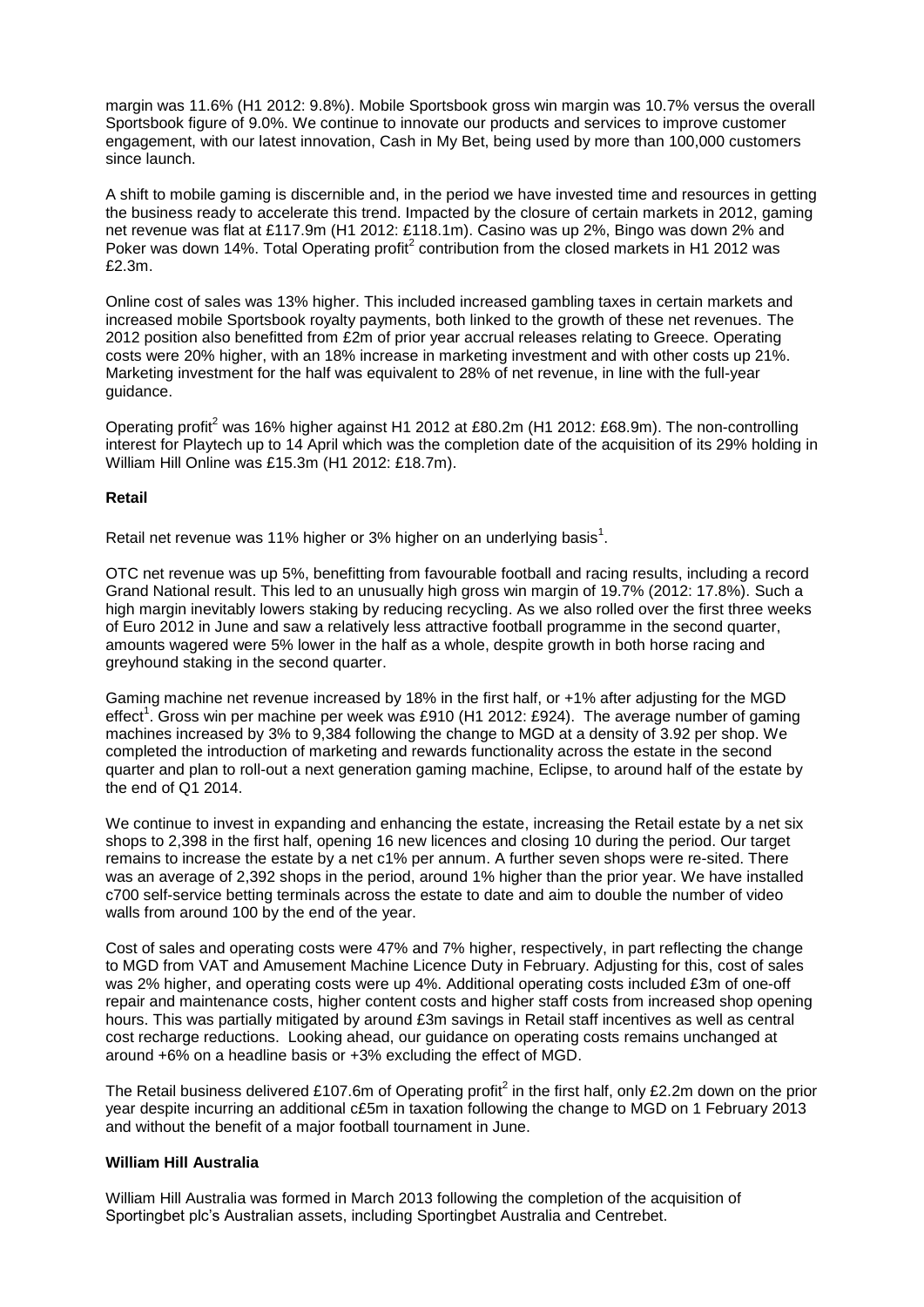margin was 11.6% (H1 2012: 9.8%). Mobile Sportsbook gross win margin was 10.7% versus the overall Sportsbook figure of 9.0%. We continue to innovate our products and services to improve customer engagement, with our latest innovation, Cash in My Bet, being used by more than 100,000 customers since launch.

A shift to mobile gaming is discernible and, in the period we have invested time and resources in getting the business ready to accelerate this trend. Impacted by the closure of certain markets in 2012, gaming net revenue was flat at £117.9m (H1 2012: £118.1m). Casino was up 2%, Bingo was down 2% and Poker was down 14%. Total Operating profit<sup>2</sup> contribution from the closed markets in H1 2012 was £2.3m.

Online cost of sales was 13% higher. This included increased gambling taxes in certain markets and increased mobile Sportsbook royalty payments, both linked to the growth of these net revenues. The 2012 position also benefitted from £2m of prior year accrual releases relating to Greece. Operating costs were 20% higher, with an 18% increase in marketing investment and with other costs up 21%. Marketing investment for the half was equivalent to 28% of net revenue, in line with the full-year guidance.

Operating profit<sup>2</sup> was 16% higher against H1 2012 at £80.2m (H1 2012: £68.9m). The non-controlling interest for Playtech up to 14 April which was the completion date of the acquisition of its 29% holding in William Hill Online was £15.3m (H1 2012: £18.7m).

#### **Retail**

Retail net revenue was 11% higher or 3% higher on an underlying basis<sup>1</sup>.

OTC net revenue was up 5%, benefitting from favourable football and racing results, including a record Grand National result. This led to an unusually high gross win margin of 19.7% (2012: 17.8%). Such a high margin inevitably lowers staking by reducing recycling. As we also rolled over the first three weeks of Euro 2012 in June and saw a relatively less attractive football programme in the second quarter, amounts wagered were 5% lower in the half as a whole, despite growth in both horse racing and greyhound staking in the second quarter.

Gaming machine net revenue increased by 18% in the first half, or +1% after adjusting for the MGD effect<sup>1</sup>. Gross win per machine per week was £910 (H1 2012: £924). The average number of gaming machines increased by 3% to 9,384 following the change to MGD at a density of 3.92 per shop. We completed the introduction of marketing and rewards functionality across the estate in the second quarter and plan to roll-out a next generation gaming machine, Eclipse, to around half of the estate by the end of Q1 2014.

We continue to invest in expanding and enhancing the estate, increasing the Retail estate by a net six shops to 2,398 in the first half, opening 16 new licences and closing 10 during the period. Our target remains to increase the estate by a net c1% per annum. A further seven shops were re-sited. There was an average of 2,392 shops in the period, around 1% higher than the prior year. We have installed c700 self-service betting terminals across the estate to date and aim to double the number of video walls from around 100 by the end of the year.

Cost of sales and operating costs were 47% and 7% higher, respectively, in part reflecting the change to MGD from VAT and Amusement Machine Licence Duty in February. Adjusting for this, cost of sales was 2% higher, and operating costs were up 4%. Additional operating costs included £3m of one-off repair and maintenance costs, higher content costs and higher staff costs from increased shop opening hours. This was partially mitigated by around £3m savings in Retail staff incentives as well as central cost recharge reductions. Looking ahead, our guidance on operating costs remains unchanged at around +6% on a headline basis or +3% excluding the effect of MGD.

The Retail business delivered £107.6m of Operating profit<sup>2</sup> in the first half, only £2.2m down on the prior year despite incurring an additional c£5m in taxation following the change to MGD on 1 February 2013 and without the benefit of a major football tournament in June.

#### **William Hill Australia**

William Hill Australia was formed in March 2013 following the completion of the acquisition of Sportingbet plc's Australian assets, including Sportingbet Australia and Centrebet.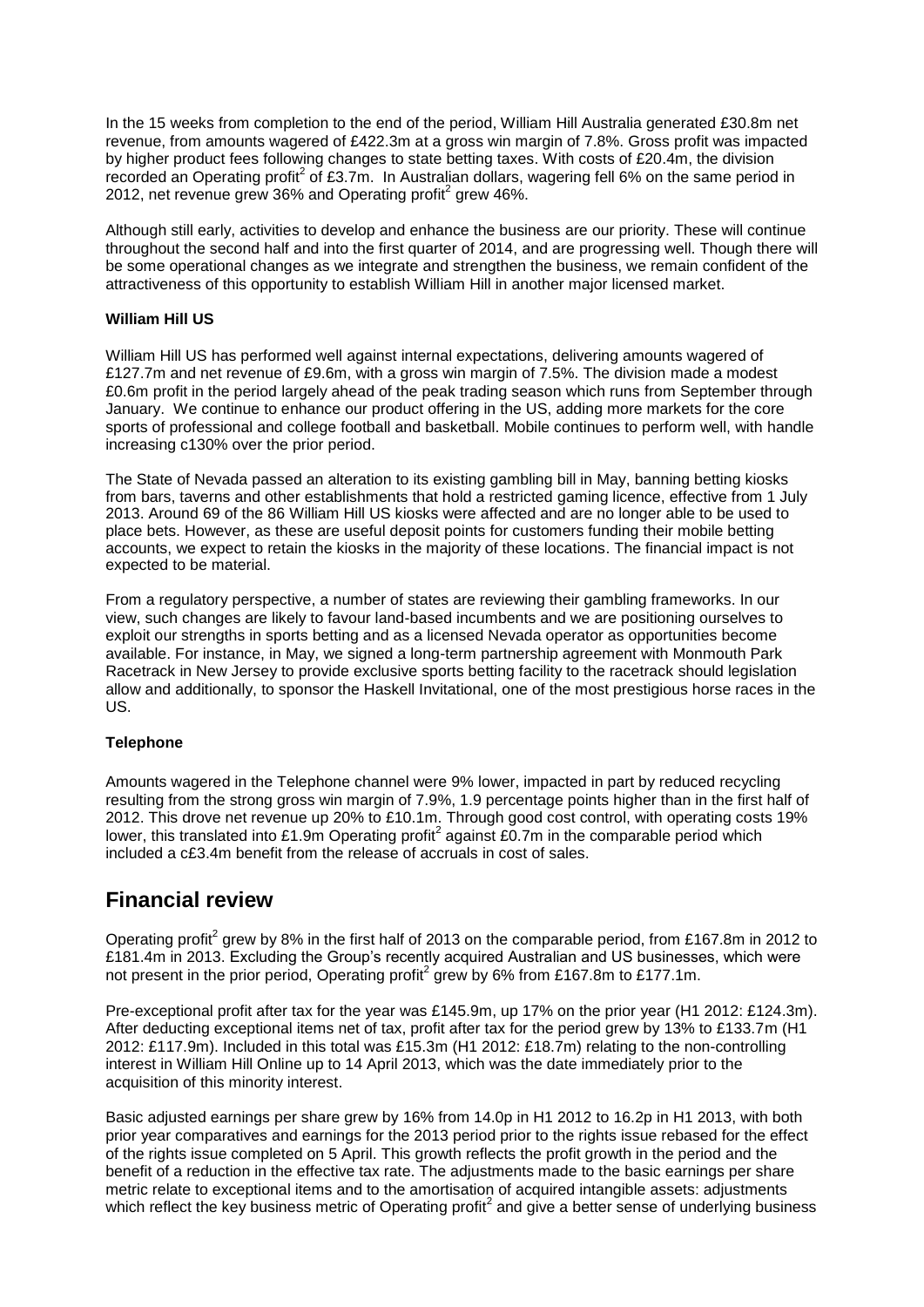In the 15 weeks from completion to the end of the period, William Hill Australia generated £30.8m net revenue, from amounts wagered of £422.3m at a gross win margin of 7.8%. Gross profit was impacted by higher product fees following changes to state betting taxes. With costs of £20.4m, the division recorded an Operating profit<sup>2</sup> of £3.7m. In Australian dollars, wagering fell 6% on the same period in 2012, net revenue grew 36% and Operating profit<sup>2</sup> grew 46%.

Although still early, activities to develop and enhance the business are our priority. These will continue throughout the second half and into the first quarter of 2014, and are progressing well. Though there will be some operational changes as we integrate and strengthen the business, we remain confident of the attractiveness of this opportunity to establish William Hill in another major licensed market.

#### **William Hill US**

William Hill US has performed well against internal expectations, delivering amounts wagered of £127.7m and net revenue of £9.6m, with a gross win margin of 7.5%. The division made a modest £0.6m profit in the period largely ahead of the peak trading season which runs from September through January. We continue to enhance our product offering in the US, adding more markets for the core sports of professional and college football and basketball. Mobile continues to perform well, with handle increasing c130% over the prior period.

The State of Nevada passed an alteration to its existing gambling bill in May, banning betting kiosks from bars, taverns and other establishments that hold a restricted gaming licence, effective from 1 July 2013. Around 69 of the 86 William Hill US kiosks were affected and are no longer able to be used to place bets. However, as these are useful deposit points for customers funding their mobile betting accounts, we expect to retain the kiosks in the majority of these locations. The financial impact is not expected to be material.

From a regulatory perspective, a number of states are reviewing their gambling frameworks. In our view, such changes are likely to favour land-based incumbents and we are positioning ourselves to exploit our strengths in sports betting and as a licensed Nevada operator as opportunities become available. For instance, in May, we signed a long-term partnership agreement with Monmouth Park Racetrack in New Jersey to provide exclusive sports betting facility to the racetrack should legislation allow and additionally, to sponsor the Haskell Invitational, one of the most prestigious horse races in the US.

### **Telephone**

Amounts wagered in the Telephone channel were 9% lower, impacted in part by reduced recycling resulting from the strong gross win margin of 7.9%, 1.9 percentage points higher than in the first half of 2012. This drove net revenue up 20% to £10.1m. Through good cost control, with operating costs 19% lower, this translated into £1.9m Operating profit<sup>2</sup> against £0.7m in the comparable period which included a c£3.4m benefit from the release of accruals in cost of sales.

# **Financial review**

Operating profit<sup>2</sup> grew by 8% in the first half of 2013 on the comparable period, from £167.8m in 2012 to £181.4m in 2013. Excluding the Group's recently acquired Australian and US businesses, which were not present in the prior period, Operating profit<sup>2</sup> grew by 6% from £167.8m to £177.1m.

Pre-exceptional profit after tax for the year was £145.9m, up 17% on the prior year (H1 2012: £124.3m). After deducting exceptional items net of tax, profit after tax for the period grew by 13% to £133.7m (H1 2012: £117.9m). Included in this total was £15.3m (H1 2012: £18.7m) relating to the non-controlling interest in William Hill Online up to 14 April 2013, which was the date immediately prior to the acquisition of this minority interest.

Basic adjusted earnings per share grew by 16% from 14.0p in H1 2012 to 16.2p in H1 2013, with both prior year comparatives and earnings for the 2013 period prior to the rights issue rebased for the effect of the rights issue completed on 5 April. This growth reflects the profit growth in the period and the benefit of a reduction in the effective tax rate. The adjustments made to the basic earnings per share metric relate to exceptional items and to the amortisation of acquired intangible assets: adjustments which reflect the key business metric of Operating profit<sup>2</sup> and give a better sense of underlying business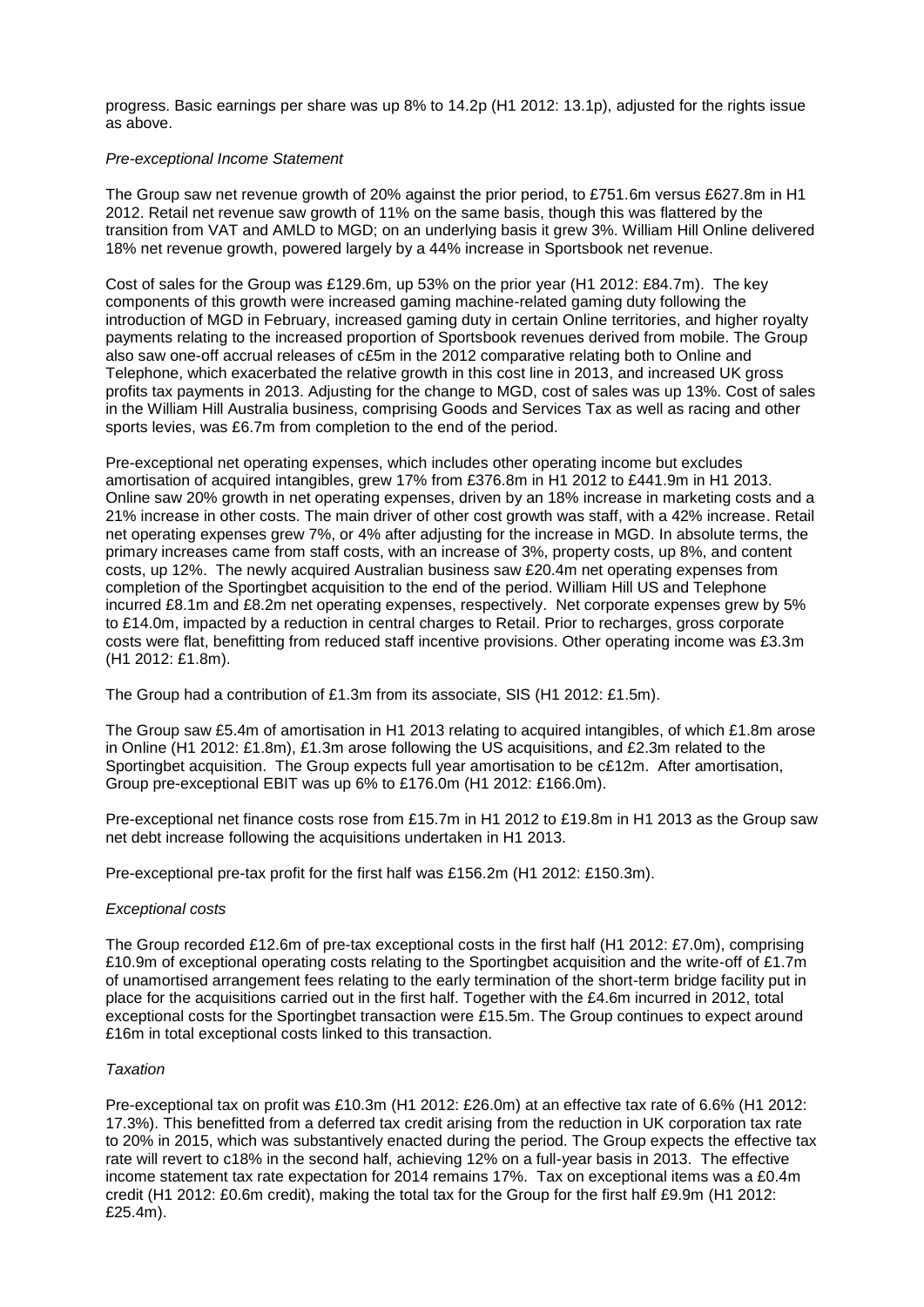progress. Basic earnings per share was up 8% to 14.2p (H1 2012: 13.1p), adjusted for the rights issue as above.

#### *Pre-exceptional Income Statement*

The Group saw net revenue growth of 20% against the prior period, to £751.6m versus £627.8m in H1 2012. Retail net revenue saw growth of 11% on the same basis, though this was flattered by the transition from VAT and AMLD to MGD; on an underlying basis it grew 3%. William Hill Online delivered 18% net revenue growth, powered largely by a 44% increase in Sportsbook net revenue.

Cost of sales for the Group was £129.6m, up 53% on the prior year (H1 2012: £84.7m). The key components of this growth were increased gaming machine-related gaming duty following the introduction of MGD in February, increased gaming duty in certain Online territories, and higher royalty payments relating to the increased proportion of Sportsbook revenues derived from mobile. The Group also saw one-off accrual releases of c£5m in the 2012 comparative relating both to Online and Telephone, which exacerbated the relative growth in this cost line in 2013, and increased UK gross profits tax payments in 2013. Adjusting for the change to MGD, cost of sales was up 13%. Cost of sales in the William Hill Australia business, comprising Goods and Services Tax as well as racing and other sports levies, was £6.7m from completion to the end of the period.

Pre-exceptional net operating expenses, which includes other operating income but excludes amortisation of acquired intangibles, grew 17% from £376.8m in H1 2012 to £441.9m in H1 2013. Online saw 20% growth in net operating expenses, driven by an 18% increase in marketing costs and a 21% increase in other costs. The main driver of other cost growth was staff, with a 42% increase. Retail net operating expenses grew 7%, or 4% after adjusting for the increase in MGD. In absolute terms, the primary increases came from staff costs, with an increase of 3%, property costs, up 8%, and content costs, up 12%. The newly acquired Australian business saw £20.4m net operating expenses from completion of the Sportingbet acquisition to the end of the period. William Hill US and Telephone incurred £8.1m and £8.2m net operating expenses, respectively. Net corporate expenses grew by 5% to £14.0m, impacted by a reduction in central charges to Retail. Prior to recharges, gross corporate costs were flat, benefitting from reduced staff incentive provisions. Other operating income was £3.3m (H1 2012: £1.8m).

The Group had a contribution of £1.3m from its associate, SIS (H1 2012: £1.5m).

The Group saw £5.4m of amortisation in H1 2013 relating to acquired intangibles, of which £1.8m arose in Online (H1 2012: £1.8m), £1.3m arose following the US acquisitions, and £2.3m related to the Sportingbet acquisition. The Group expects full year amortisation to be c£12m. After amortisation, Group pre-exceptional EBIT was up 6% to £176.0m (H1 2012: £166.0m).

Pre-exceptional net finance costs rose from £15.7m in H1 2012 to £19.8m in H1 2013 as the Group saw net debt increase following the acquisitions undertaken in H1 2013.

Pre-exceptional pre-tax profit for the first half was £156.2m (H1 2012: £150.3m).

### *Exceptional costs*

The Group recorded £12.6m of pre-tax exceptional costs in the first half (H1 2012: £7.0m), comprising £10.9m of exceptional operating costs relating to the Sportingbet acquisition and the write-off of £1.7m of unamortised arrangement fees relating to the early termination of the short-term bridge facility put in place for the acquisitions carried out in the first half. Together with the £4.6m incurred in 2012, total exceptional costs for the Sportingbet transaction were £15.5m. The Group continues to expect around £16m in total exceptional costs linked to this transaction.

#### *Taxation*

Pre-exceptional tax on profit was £10.3m (H1 2012: £26.0m) at an effective tax rate of 6.6% (H1 2012: 17.3%). This benefitted from a deferred tax credit arising from the reduction in UK corporation tax rate to 20% in 2015, which was substantively enacted during the period. The Group expects the effective tax rate will revert to c18% in the second half, achieving 12% on a full-year basis in 2013. The effective income statement tax rate expectation for 2014 remains 17%. Tax on exceptional items was a £0.4m credit (H1 2012: £0.6m credit), making the total tax for the Group for the first half £9.9m (H1 2012: £25.4m).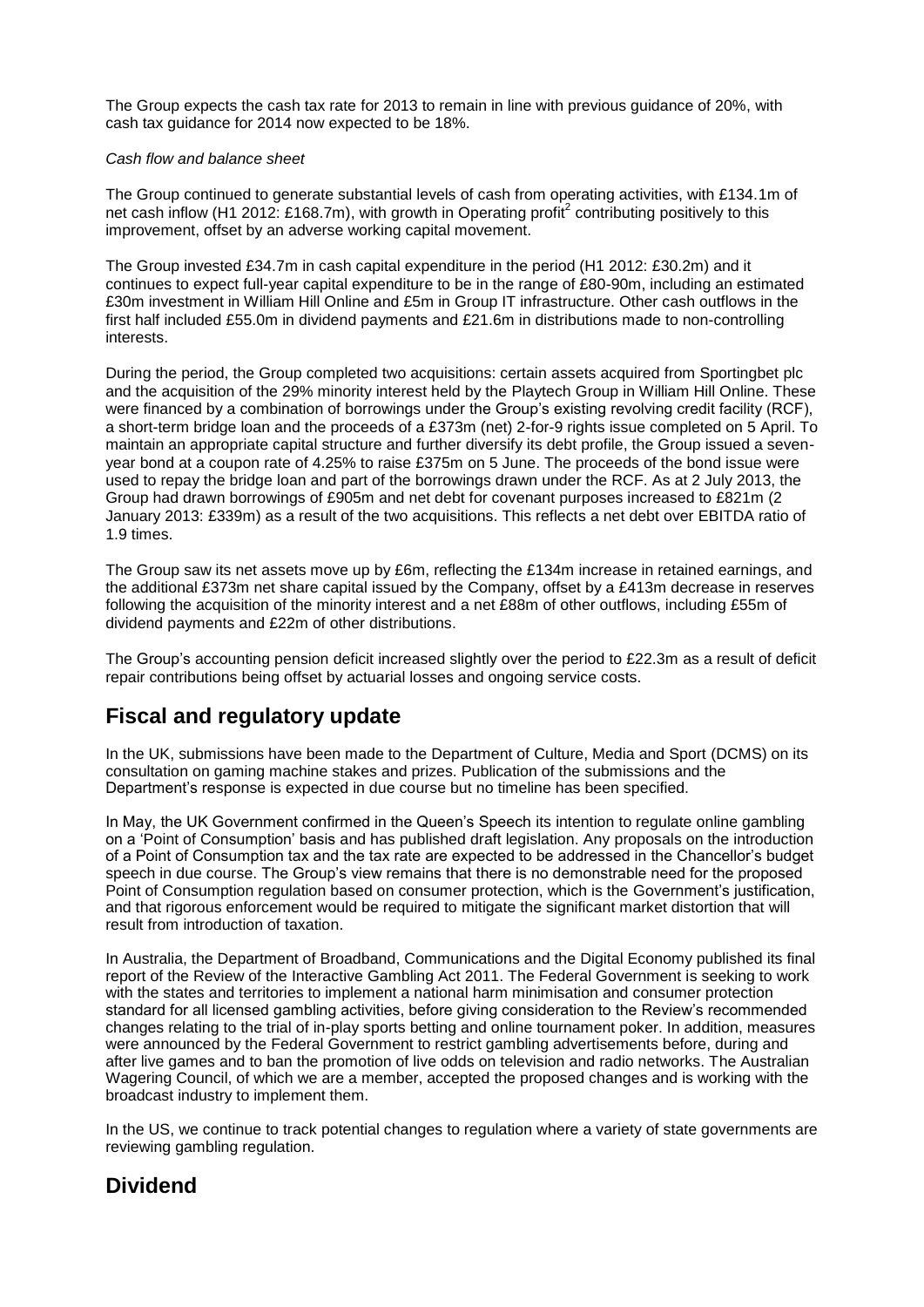The Group expects the cash tax rate for 2013 to remain in line with previous guidance of 20%, with cash tax guidance for 2014 now expected to be 18%.

#### *Cash flow and balance sheet*

The Group continued to generate substantial levels of cash from operating activities, with £134.1m of net cash inflow (H1 2012: £168.7m), with growth in Operating profit<sup>2</sup> contributing positively to this improvement, offset by an adverse working capital movement.

The Group invested £34.7m in cash capital expenditure in the period (H1 2012: £30.2m) and it continues to expect full-year capital expenditure to be in the range of £80-90m, including an estimated £30m investment in William Hill Online and £5m in Group IT infrastructure. Other cash outflows in the first half included £55.0m in dividend payments and £21.6m in distributions made to non-controlling interests.

During the period, the Group completed two acquisitions: certain assets acquired from Sportingbet plc and the acquisition of the 29% minority interest held by the Playtech Group in William Hill Online. These were financed by a combination of borrowings under the Group's existing revolving credit facility (RCF), a short-term bridge loan and the proceeds of a £373m (net) 2-for-9 rights issue completed on 5 April. To maintain an appropriate capital structure and further diversify its debt profile, the Group issued a sevenyear bond at a coupon rate of 4.25% to raise £375m on 5 June. The proceeds of the bond issue were used to repay the bridge loan and part of the borrowings drawn under the RCF. As at 2 July 2013, the Group had drawn borrowings of £905m and net debt for covenant purposes increased to £821m (2 January 2013: £339m) as a result of the two acquisitions. This reflects a net debt over EBITDA ratio of 1.9 times.

The Group saw its net assets move up by £6m, reflecting the £134m increase in retained earnings, and the additional £373m net share capital issued by the Company, offset by a £413m decrease in reserves following the acquisition of the minority interest and a net £88m of other outflows, including £55m of dividend payments and £22m of other distributions.

The Group's accounting pension deficit increased slightly over the period to £22.3m as a result of deficit repair contributions being offset by actuarial losses and ongoing service costs.

# **Fiscal and regulatory update**

In the UK, submissions have been made to the Department of Culture, Media and Sport (DCMS) on its consultation on gaming machine stakes and prizes. Publication of the submissions and the Department's response is expected in due course but no timeline has been specified.

In May, the UK Government confirmed in the Queen's Speech its intention to regulate online gambling on a 'Point of Consumption' basis and has published draft legislation. Any proposals on the introduction of a Point of Consumption tax and the tax rate are expected to be addressed in the Chancellor's budget speech in due course. The Group's view remains that there is no demonstrable need for the proposed Point of Consumption regulation based on consumer protection, which is the Government's justification, and that rigorous enforcement would be required to mitigate the significant market distortion that will result from introduction of taxation.

In Australia, the Department of Broadband, Communications and the Digital Economy published its final report of the Review of the Interactive Gambling Act 2011. The Federal Government is seeking to work with the states and territories to implement a national harm minimisation and consumer protection standard for all licensed gambling activities, before giving consideration to the Review's recommended changes relating to the trial of in-play sports betting and online tournament poker. In addition, measures were announced by the Federal Government to restrict gambling advertisements before, during and after live games and to ban the promotion of live odds on television and radio networks. The Australian Wagering Council, of which we are a member, accepted the proposed changes and is working with the broadcast industry to implement them.

In the US, we continue to track potential changes to regulation where a variety of state governments are reviewing gambling regulation.

# **Dividend**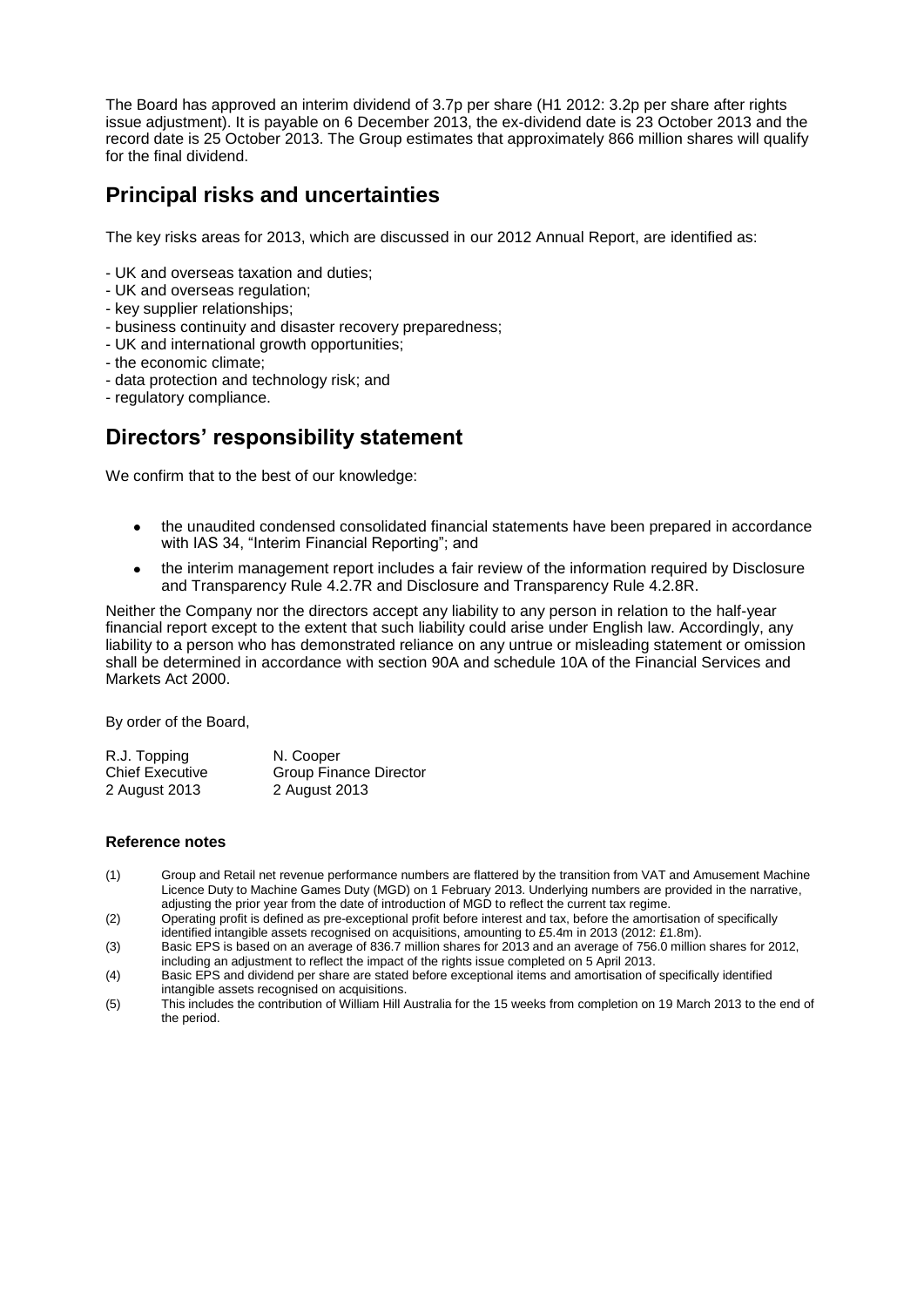The Board has approved an interim dividend of 3.7p per share (H1 2012: 3.2p per share after rights issue adjustment). It is payable on 6 December 2013, the ex-dividend date is 23 October 2013 and the record date is 25 October 2013. The Group estimates that approximately 866 million shares will qualify for the final dividend.

# **Principal risks and uncertainties**

The key risks areas for 2013, which are discussed in our 2012 Annual Report, are identified as:

- UK and overseas taxation and duties;
- UK and overseas regulation;
- key supplier relationships;
- business continuity and disaster recovery preparedness;
- UK and international growth opportunities;
- the economic climate;
- data protection and technology risk; and
- regulatory compliance.

# **Directors' responsibility statement**

We confirm that to the best of our knowledge:

- the unaudited condensed consolidated financial statements have been prepared in accordance with IAS 34, "Interim Financial Reporting"; and
- the interim management report includes a fair review of the information required by Disclosure  $\bullet$ and Transparency Rule 4.2.7R and Disclosure and Transparency Rule 4.2.8R.

Neither the Company nor the directors accept any liability to any person in relation to the half-year financial report except to the extent that such liability could arise under English law. Accordingly, any liability to a person who has demonstrated reliance on any untrue or misleading statement or omission shall be determined in accordance with section 90A and schedule 10A of the Financial Services and Markets Act 2000.

By order of the Board,

| R.J. Topping           | N. Cooper                     |
|------------------------|-------------------------------|
| <b>Chief Executive</b> | <b>Group Finance Director</b> |
| 2 August 2013          | 2 August 2013                 |

#### **Reference notes**

- (1) Group and Retail net revenue performance numbers are flattered by the transition from VAT and Amusement Machine Licence Duty to Machine Games Duty (MGD) on 1 February 2013. Underlying numbers are provided in the narrative, adjusting the prior year from the date of introduction of MGD to reflect the current tax regime.
- (2) Operating profit is defined as pre-exceptional profit before interest and tax, before the amortisation of specifically identified intangible assets recognised on acquisitions, amounting to £5.4m in 2013 (2012: £1.8m).
- (3) Basic EPS is based on an average of 836.7 million shares for 2013 and an average of 756.0 million shares for 2012, including an adjustment to reflect the impact of the rights issue completed on 5 April 2013.
- (4) Basic EPS and dividend per share are stated before exceptional items and amortisation of specifically identified intangible assets recognised on acquisitions.
- (5) This includes the contribution of William Hill Australia for the 15 weeks from completion on 19 March 2013 to the end of the period.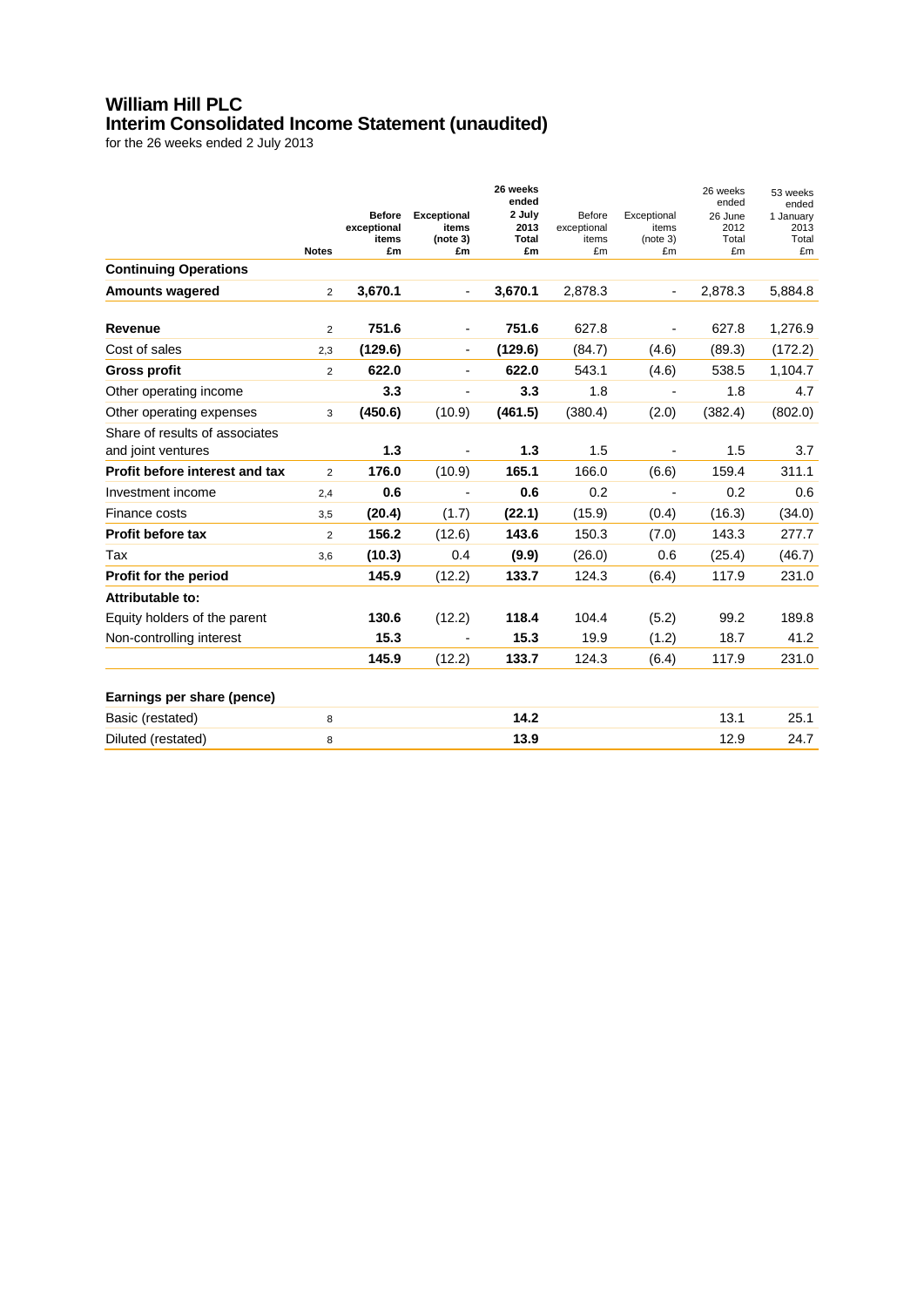# **William Hill PLC Interim Consolidated Income Statement (unaudited)**

|                                                      |                |                                             |                                         | 26 weeks<br>ended             |                                      |                                  | 26 weeks                                | 53 weeks                            |
|------------------------------------------------------|----------------|---------------------------------------------|-----------------------------------------|-------------------------------|--------------------------------------|----------------------------------|-----------------------------------------|-------------------------------------|
|                                                      | <b>Notes</b>   | <b>Before</b><br>exceptional<br>items<br>£m | <b>Exceptional</b><br>items<br>(note 3) | 2 July<br>2013<br>Total<br>£m | Before<br>exceptional<br>items<br>£m | Exceptional<br>items<br>(note 3) | ended<br>26 June<br>2012<br>Total<br>£m | ended<br>1 January<br>2013<br>Total |
| <b>Continuing Operations</b>                         |                |                                             | £m                                      |                               |                                      | £m                               |                                         | £m                                  |
| <b>Amounts wagered</b>                               | 2              | 3,670.1                                     | $\overline{\phantom{a}}$                | 3,670.1                       | 2,878.3                              | $\overline{\phantom{a}}$         | 2,878.3                                 | 5,884.8                             |
| Revenue                                              | 2              | 751.6                                       |                                         | 751.6                         | 627.8                                |                                  | 627.8                                   | 1,276.9                             |
| Cost of sales                                        | 2,3            | (129.6)                                     | $\overline{\phantom{a}}$                | (129.6)                       | (84.7)                               | (4.6)                            | (89.3)                                  | (172.2)                             |
| <b>Gross profit</b>                                  | $\overline{2}$ | 622.0                                       | $\overline{\phantom{a}}$                | 622.0                         | 543.1                                | (4.6)                            | 538.5                                   | 1,104.7                             |
| Other operating income                               |                | 3.3                                         |                                         | 3.3                           | 1.8                                  |                                  | 1.8                                     | 4.7                                 |
| Other operating expenses                             | 3              | (450.6)                                     | (10.9)                                  | (461.5)                       | (380.4)                              | (2.0)                            | (382.4)                                 | (802.0)                             |
| Share of results of associates<br>and joint ventures |                | 1.3                                         |                                         | 1.3                           | 1.5                                  |                                  | 1.5                                     | 3.7                                 |
| Profit before interest and tax                       | $\overline{2}$ | 176.0                                       | (10.9)                                  | 165.1                         | 166.0                                | (6.6)                            | 159.4                                   | 311.1                               |
| Investment income                                    | 2,4            | 0.6                                         |                                         | 0.6                           | 0.2                                  |                                  | 0.2                                     | 0.6                                 |
| Finance costs                                        | 3,5            | (20.4)                                      | (1.7)                                   | (22.1)                        | (15.9)                               | (0.4)                            | (16.3)                                  | (34.0)                              |
| Profit before tax                                    | $\overline{2}$ | 156.2                                       | (12.6)                                  | 143.6                         | 150.3                                | (7.0)                            | 143.3                                   | 277.7                               |
| Tax                                                  | 3.6            | (10.3)                                      | 0.4                                     | (9.9)                         | (26.0)                               | 0.6                              | (25.4)                                  | (46.7)                              |
| Profit for the period                                |                | 145.9                                       | (12.2)                                  | 133.7                         | 124.3                                | (6.4)                            | 117.9                                   | 231.0                               |
| Attributable to:                                     |                |                                             |                                         |                               |                                      |                                  |                                         |                                     |
| Equity holders of the parent                         |                | 130.6                                       | (12.2)                                  | 118.4                         | 104.4                                | (5.2)                            | 99.2                                    | 189.8                               |
| Non-controlling interest                             |                | 15.3                                        |                                         | 15.3                          | 19.9                                 | (1.2)                            | 18.7                                    | 41.2                                |
|                                                      |                | 145.9                                       | (12.2)                                  | 133.7                         | 124.3                                | (6.4)                            | 117.9                                   | 231.0                               |
| Earnings per share (pence)                           |                |                                             |                                         |                               |                                      |                                  |                                         |                                     |
| Basic (restated)                                     | 8              |                                             |                                         | 14.2                          |                                      |                                  | 13.1                                    | 25.1                                |
| Diluted (restated)                                   | 8              |                                             |                                         | 13.9                          |                                      |                                  | 12.9                                    | 24.7                                |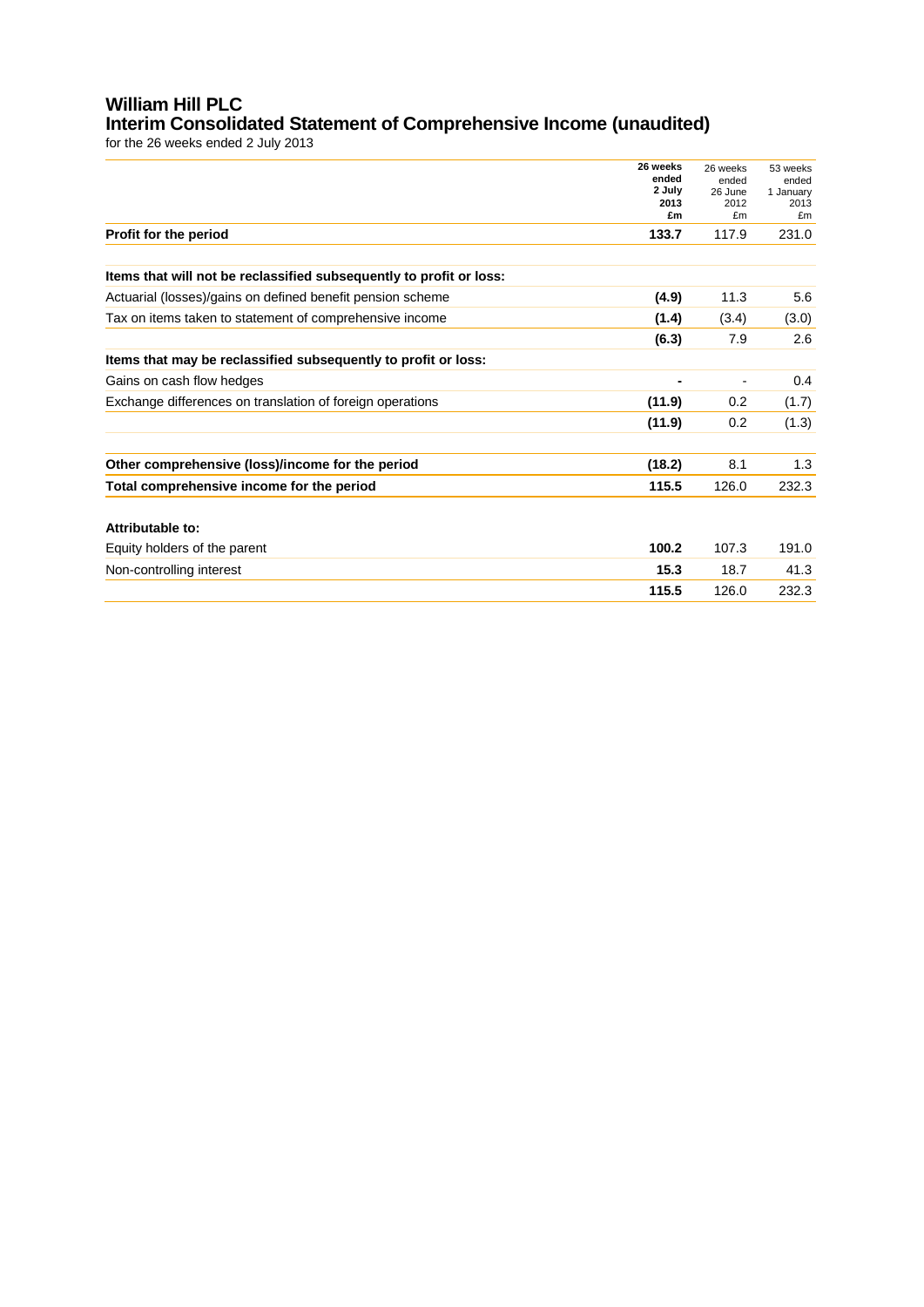## **William Hill PLC Interim Consolidated Statement of Comprehensive Income (unaudited)**

|                                                                     | 26 weeks<br>ended<br>2 July<br>2013<br>£m | 26 weeks<br>ended<br>26 June<br>2012<br>£m | 53 weeks<br>ended<br>1 January<br>2013<br>£m |
|---------------------------------------------------------------------|-------------------------------------------|--------------------------------------------|----------------------------------------------|
| Profit for the period                                               | 133.7                                     | 117.9                                      | 231.0                                        |
| Items that will not be reclassified subsequently to profit or loss: |                                           |                                            |                                              |
| Actuarial (losses)/gains on defined benefit pension scheme          | (4.9)                                     | 11.3                                       | 5.6                                          |
| Tax on items taken to statement of comprehensive income             | (1.4)                                     | (3.4)                                      | (3.0)                                        |
|                                                                     | (6.3)                                     | 7.9                                        | 2.6                                          |
| Items that may be reclassified subsequently to profit or loss:      |                                           |                                            |                                              |
| Gains on cash flow hedges                                           |                                           |                                            | 0.4                                          |
| Exchange differences on translation of foreign operations           | (11.9)                                    | 0.2                                        | (1.7)                                        |
|                                                                     | (11.9)                                    | 0.2                                        | (1.3)                                        |
| Other comprehensive (loss)/income for the period                    | (18.2)                                    | 8.1                                        | 1.3                                          |
| Total comprehensive income for the period                           | 115.5                                     | 126.0                                      | 232.3                                        |
| Attributable to:                                                    |                                           |                                            |                                              |
| Equity holders of the parent                                        | 100.2                                     | 107.3                                      | 191.0                                        |
| Non-controlling interest                                            | 15.3                                      | 18.7                                       | 41.3                                         |
|                                                                     | 115.5                                     | 126.0                                      | 232.3                                        |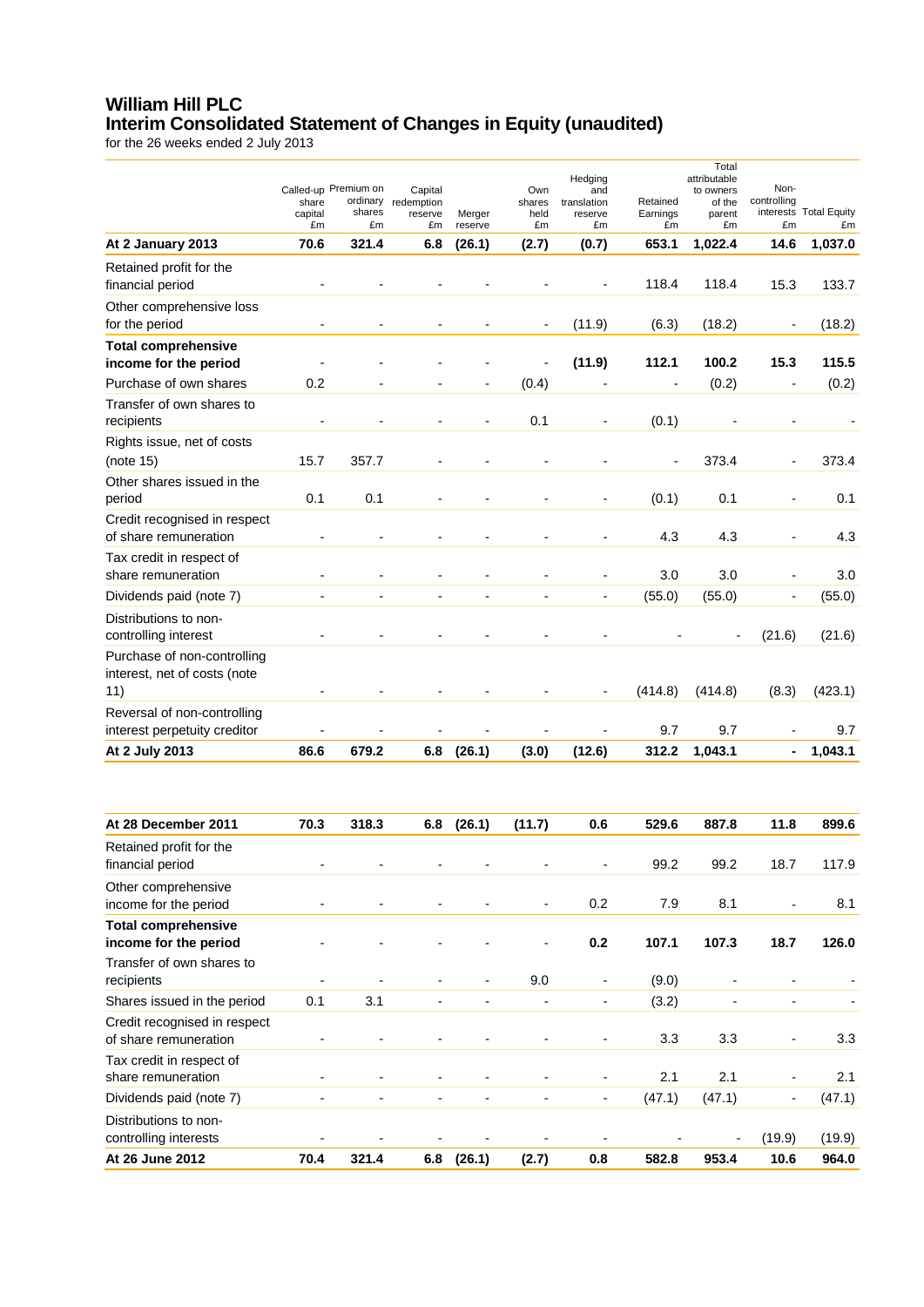# **William Hill PLC Interim Consolidated Statement of Changes in Equity (unaudited)**

| At 2 July 2013                                                     | 86.6                   | 679.2                                            | 6.8                                    | (26.1)            | (3.0)                       | (12.6)                                         | 312.2                      | 1,043.1                                                      | $\blacksquare$            | 1,043.1                      |
|--------------------------------------------------------------------|------------------------|--------------------------------------------------|----------------------------------------|-------------------|-----------------------------|------------------------------------------------|----------------------------|--------------------------------------------------------------|---------------------------|------------------------------|
| Reversal of non-controlling<br>interest perpetuity creditor        |                        |                                                  |                                        |                   |                             |                                                | 9.7                        | 9.7                                                          |                           | 9.7                          |
| Purchase of non-controlling<br>interest, net of costs (note<br>11) |                        |                                                  |                                        |                   |                             |                                                | (414.8)                    | (414.8)                                                      | (8.3)                     | (423.1)                      |
| Distributions to non-<br>controlling interest                      |                        |                                                  |                                        |                   |                             |                                                |                            |                                                              | (21.6)                    | (21.6)                       |
| Dividends paid (note 7)                                            |                        |                                                  | ۰                                      |                   |                             | $\overline{\phantom{a}}$                       | (55.0)                     | (55.0)                                                       | $\overline{\phantom{m}}$  | (55.0)                       |
| Tax credit in respect of<br>share remuneration                     |                        |                                                  | $\overline{a}$                         |                   |                             |                                                | 3.0                        | 3.0                                                          | $\overline{\phantom{a}}$  | 3.0                          |
| Credit recognised in respect<br>of share remuneration              | ÷,                     |                                                  |                                        |                   |                             |                                                | 4.3                        | 4.3                                                          |                           | 4.3                          |
| Other shares issued in the<br>period                               | 0.1                    | 0.1                                              |                                        |                   |                             |                                                | (0.1)                      | 0.1                                                          |                           | 0.1                          |
| Rights issue, net of costs<br>(note 15)                            | 15.7                   | 357.7                                            |                                        |                   |                             |                                                | $\overline{a}$             | 373.4                                                        | $\overline{\phantom{0}}$  | 373.4                        |
| Transfer of own shares to<br>recipients                            |                        |                                                  |                                        |                   | 0.1                         |                                                | (0.1)                      |                                                              |                           |                              |
| Purchase of own shares                                             | 0.2                    |                                                  |                                        |                   | (0.4)                       |                                                |                            | (0.2)                                                        | $\overline{\phantom{a}}$  | (0.2)                        |
| <b>Total comprehensive</b><br>income for the period                |                        |                                                  |                                        |                   |                             | (11.9)                                         | 112.1                      | 100.2                                                        | 15.3                      | 115.5                        |
| Other comprehensive loss<br>for the period                         |                        |                                                  |                                        |                   |                             | (11.9)                                         | (6.3)                      | (18.2)                                                       | $\overline{\phantom{a}}$  | (18.2)                       |
| Retained profit for the<br>financial period                        |                        |                                                  |                                        |                   |                             |                                                | 118.4                      | 118.4                                                        | 15.3                      | 133.7                        |
| At 2 January 2013                                                  | 70.6                   | 321.4                                            | 6.8                                    | (26.1)            | (2.7)                       | (0.7)                                          | 653.1                      | 1,022.4                                                      | 14.6                      | 1,037.0                      |
|                                                                    | share<br>capital<br>£m | Called-up Premium on<br>ordinary<br>shares<br>£m | Capital<br>redemption<br>reserve<br>£m | Merger<br>reserve | Own<br>shares<br>held<br>£m | Hedging<br>and<br>translation<br>reserve<br>£m | Retained<br>Earnings<br>£m | Total<br>attributable<br>to owners<br>of the<br>parent<br>£m | Non-<br>controlling<br>£m | interests Total Equity<br>£m |

| At 28 December 2011                                   | 70.3           | 318.3 | 6.8 | (26.1) | (11.7)                   | 0.6                      | 529.6  | 887.8                    | 11.8                     | 899.6  |
|-------------------------------------------------------|----------------|-------|-----|--------|--------------------------|--------------------------|--------|--------------------------|--------------------------|--------|
| Retained profit for the<br>financial period           |                |       |     |        |                          |                          | 99.2   | 99.2                     | 18.7                     | 117.9  |
| Other comprehensive<br>income for the period          | $\blacksquare$ |       |     |        | $\overline{\phantom{a}}$ | 0.2                      | 7.9    | 8.1                      | $\overline{\phantom{a}}$ | 8.1    |
| <b>Total comprehensive</b><br>income for the period   |                |       |     |        | $\blacksquare$           | 0.2                      | 107.1  | 107.3                    | 18.7                     | 126.0  |
| Transfer of own shares to<br>recipients               | $\blacksquare$ |       |     |        | 9.0                      | $\overline{\phantom{a}}$ | (9.0)  |                          |                          |        |
| Shares issued in the period                           | 0.1            | 3.1   |     |        |                          | -                        | (3.2)  |                          |                          |        |
| Credit recognised in respect<br>of share remuneration |                |       |     |        |                          |                          | 3.3    | 3.3                      |                          | 3.3    |
| Tax credit in respect of<br>share remuneration        |                |       |     |        |                          |                          | 2.1    | 2.1                      | $\overline{\phantom{0}}$ | 2.1    |
| Dividends paid (note 7)                               |                |       |     |        |                          | $\overline{\phantom{a}}$ | (47.1) | (47.1)                   | ۰.                       | (47.1) |
| Distributions to non-<br>controlling interests        |                |       |     |        |                          |                          |        | $\overline{\phantom{a}}$ | (19.9)                   | (19.9) |
| At 26 June 2012                                       | 70.4           | 321.4 | 6.8 | (26.1) | (2.7)                    | 0.8                      | 582.8  | 953.4                    | 10.6                     | 964.0  |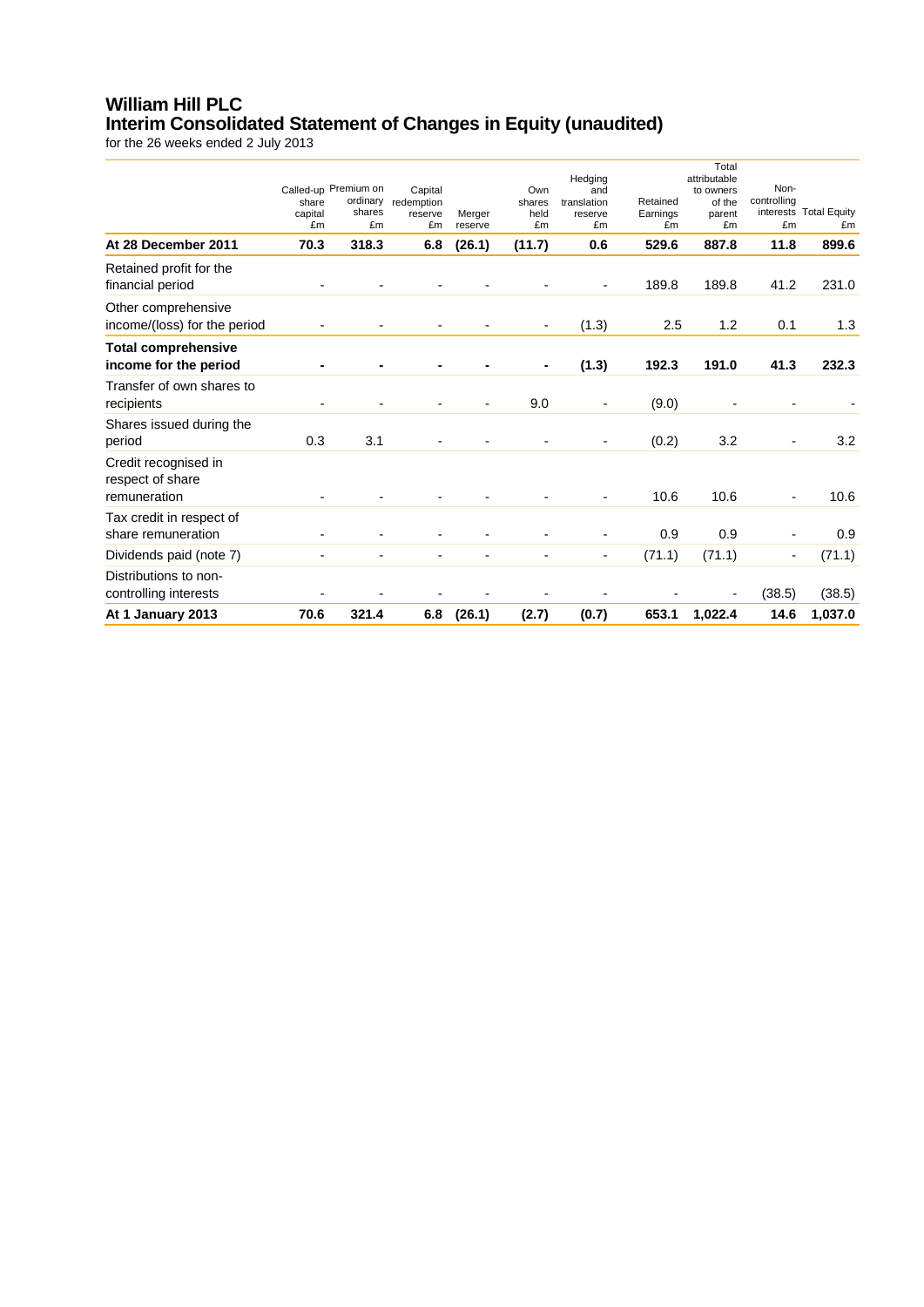# **William Hill PLC Interim Consolidated Statement of Changes in Equity (unaudited)**

|                                                          |                        |                                                  |                                        |                   |                             | Hedging                             |                            | Total<br>attributable               |                           |                              |
|----------------------------------------------------------|------------------------|--------------------------------------------------|----------------------------------------|-------------------|-----------------------------|-------------------------------------|----------------------------|-------------------------------------|---------------------------|------------------------------|
|                                                          | share<br>capital<br>£m | Called-up Premium on<br>ordinary<br>shares<br>£m | Capital<br>redemption<br>reserve<br>£m | Merger<br>reserve | Own<br>shares<br>held<br>£m | and<br>translation<br>reserve<br>£m | Retained<br>Earnings<br>£m | to owners<br>of the<br>parent<br>£m | Non-<br>controlling<br>£m | interests Total Equity<br>£m |
| At 28 December 2011                                      | 70.3                   | 318.3                                            | 6.8                                    | (26.1)            | (11.7)                      | 0.6                                 | 529.6                      | 887.8                               | 11.8                      | 899.6                        |
| Retained profit for the<br>financial period              |                        |                                                  |                                        |                   |                             |                                     | 189.8                      | 189.8                               | 41.2                      | 231.0                        |
| Other comprehensive<br>income/(loss) for the period      | $\blacksquare$         | $\overline{a}$                                   |                                        |                   | $\overline{\phantom{a}}$    | (1.3)                               | 2.5                        | 1.2                                 | 0.1                       | 1.3                          |
| <b>Total comprehensive</b><br>income for the period      |                        |                                                  |                                        |                   |                             | (1.3)                               | 192.3                      | 191.0                               | 41.3                      | 232.3                        |
| Transfer of own shares to<br>recipients                  |                        |                                                  |                                        |                   | 9.0                         |                                     | (9.0)                      |                                     |                           |                              |
| Shares issued during the<br>period                       | 0.3                    | 3.1                                              |                                        |                   |                             |                                     | (0.2)                      | 3.2                                 |                           | 3.2                          |
| Credit recognised in<br>respect of share<br>remuneration |                        |                                                  |                                        |                   |                             |                                     | 10.6                       | 10.6                                |                           | 10.6                         |
| Tax credit in respect of<br>share remuneration           |                        |                                                  |                                        |                   |                             |                                     | 0.9                        | 0.9                                 | $\overline{\phantom{a}}$  | 0.9                          |
| Dividends paid (note 7)                                  |                        |                                                  |                                        |                   |                             | $\overline{\phantom{a}}$            | (71.1)                     | (71.1)                              | $\overline{\phantom{a}}$  | (71.1)                       |
| Distributions to non-<br>controlling interests           |                        |                                                  |                                        |                   |                             |                                     |                            | $\overline{a}$                      | (38.5)                    | (38.5)                       |
| At 1 January 2013                                        | 70.6                   | 321.4                                            | 6.8                                    | (26.1)            | (2.7)                       | (0.7)                               | 653.1                      | 1,022.4                             | 14.6                      | 1,037.0                      |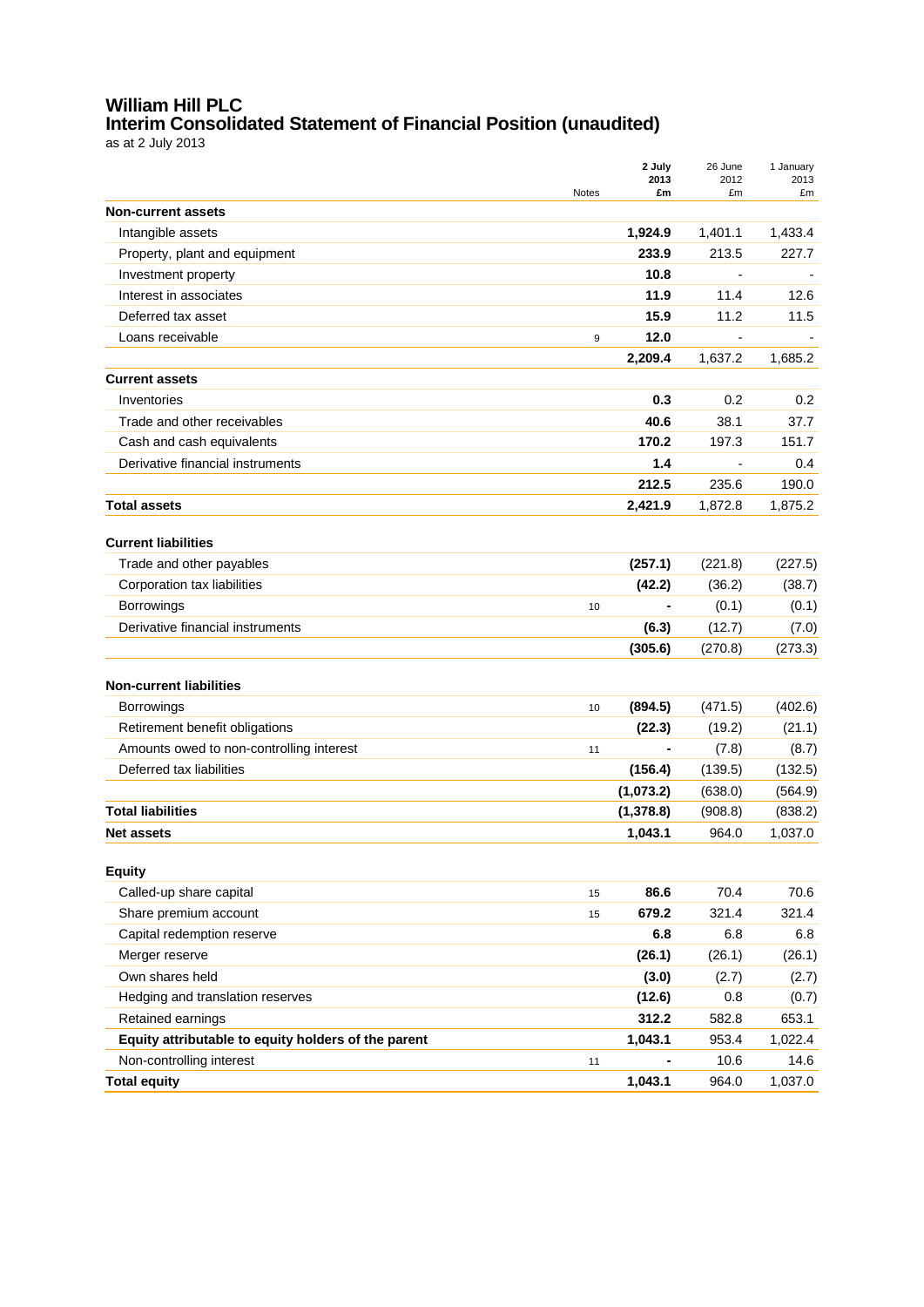# **William Hill PLC Interim Consolidated Statement of Financial Position (unaudited)**

as at 2 July 2013

|                                                     |       | 2 July     | 26 June        | 1 January  |
|-----------------------------------------------------|-------|------------|----------------|------------|
|                                                     | Notes | 2013<br>£m | 2012<br>£m     | 2013<br>£m |
| <b>Non-current assets</b>                           |       |            |                |            |
| Intangible assets                                   |       | 1,924.9    | 1,401.1        | 1,433.4    |
| Property, plant and equipment                       |       | 233.9      | 213.5          | 227.7      |
| Investment property                                 |       | 10.8       |                |            |
| Interest in associates                              |       | 11.9       | 11.4           | 12.6       |
| Deferred tax asset                                  |       | 15.9       | 11.2           | 11.5       |
| Loans receivable                                    | 9     | 12.0       |                |            |
|                                                     |       | 2,209.4    | 1,637.2        | 1,685.2    |
| <b>Current assets</b>                               |       |            |                |            |
| Inventories                                         |       | 0.3        | 0.2            | 0.2        |
| Trade and other receivables                         |       | 40.6       | 38.1           | 37.7       |
| Cash and cash equivalents                           |       | 170.2      | 197.3          | 151.7      |
| Derivative financial instruments                    |       | 1.4        | $\overline{a}$ | 0.4        |
|                                                     |       | 212.5      | 235.6          | 190.0      |
| <b>Total assets</b>                                 |       | 2,421.9    | 1,872.8        | 1,875.2    |
|                                                     |       |            |                |            |
| <b>Current liabilities</b>                          |       |            |                |            |
| Trade and other payables                            |       | (257.1)    | (221.8)        | (227.5)    |
| Corporation tax liabilities                         |       | (42.2)     | (36.2)         | (38.7)     |
| Borrowings                                          | 10    |            | (0.1)          | (0.1)      |
| Derivative financial instruments                    |       | (6.3)      | (12.7)         | (7.0)      |
|                                                     |       | (305.6)    | (270.8)        | (273.3)    |
| <b>Non-current liabilities</b>                      |       |            |                |            |
| <b>Borrowings</b>                                   | 10    | (894.5)    | (471.5)        | (402.6)    |
| Retirement benefit obligations                      |       | (22.3)     | (19.2)         | (21.1)     |
| Amounts owed to non-controlling interest            | 11    |            | (7.8)          | (8.7)      |
| Deferred tax liabilities                            |       | (156.4)    | (139.5)        | (132.5)    |
|                                                     |       | (1,073.2)  | (638.0)        | (564.9)    |
| <b>Total liabilities</b>                            |       | (1, 378.8) | (908.8)        | (838.2)    |
| <b>Net assets</b>                                   |       | 1,043.1    | 964.0          | 1,037.0    |
|                                                     |       |            |                |            |
| <b>Equity</b>                                       |       |            |                |            |
| Called-up share capital                             | 15    | 86.6       | 70.4           | 70.6       |
| Share premium account                               | 15    | 679.2      | 321.4          | 321.4      |
| Capital redemption reserve                          |       | 6.8        | 6.8            | 6.8        |
| Merger reserve                                      |       | (26.1)     | (26.1)         | (26.1)     |
| Own shares held                                     |       | (3.0)      | (2.7)          | (2.7)      |
| Hedging and translation reserves                    |       | (12.6)     | 0.8            | (0.7)      |
| Retained earnings                                   |       | 312.2      | 582.8          | 653.1      |
| Equity attributable to equity holders of the parent |       | 1,043.1    | 953.4          | 1,022.4    |
| Non-controlling interest                            | 11    |            | 10.6           | 14.6       |
| <b>Total equity</b>                                 |       | 1,043.1    | 964.0          | 1,037.0    |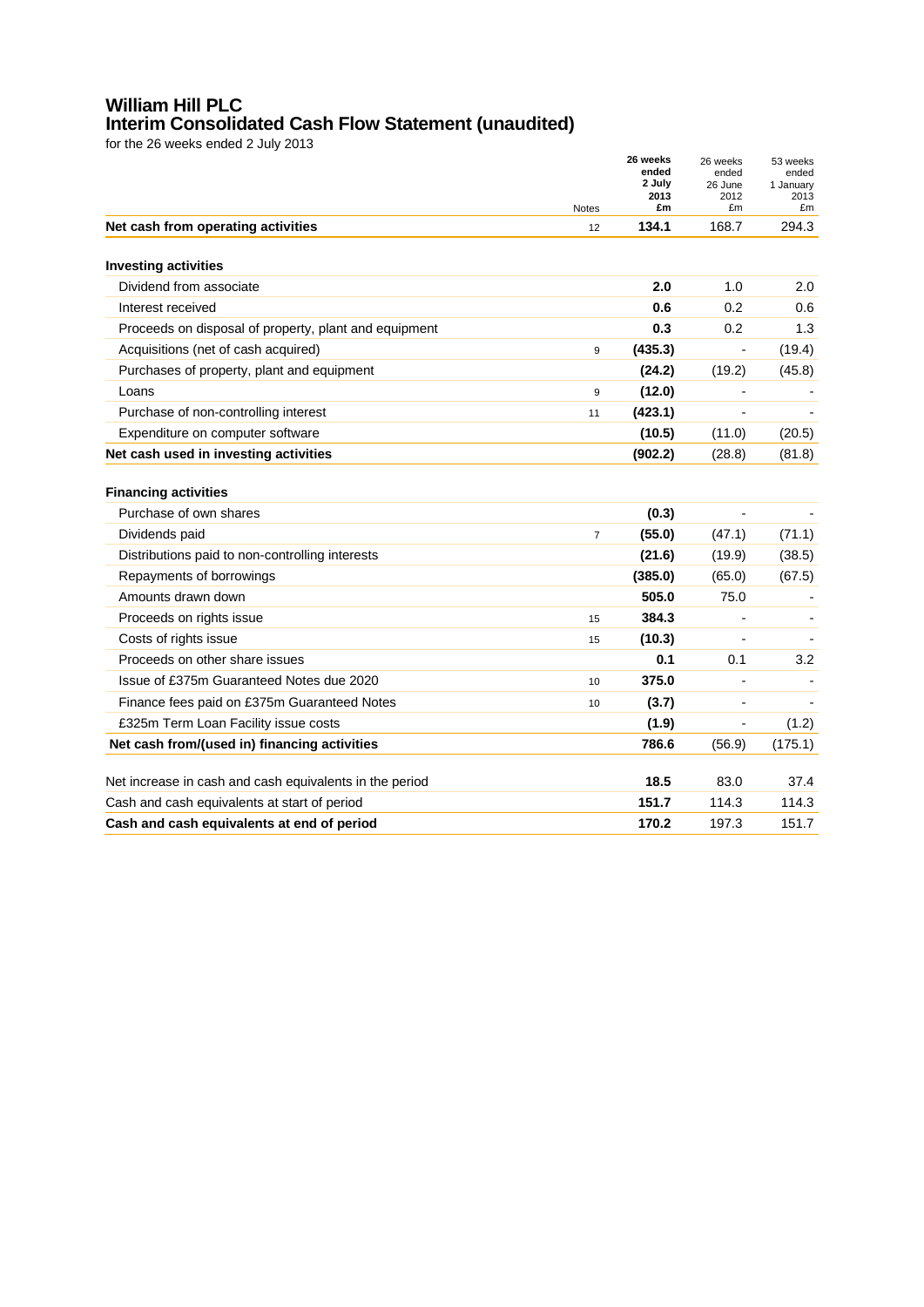# **William Hill PLC Interim Consolidated Cash Flow Statement (unaudited)**

|                                                         | <b>Notes</b>   | 26 weeks<br>ended<br>2 July<br>2013<br>£m | 26 weeks<br>ended<br>26 June<br>2012<br>£m | 53 weeks<br>ended<br>1 January<br>2013<br>£m |
|---------------------------------------------------------|----------------|-------------------------------------------|--------------------------------------------|----------------------------------------------|
| Net cash from operating activities                      | 12             | 134.1                                     | 168.7                                      | 294.3                                        |
| <b>Investing activities</b>                             |                |                                           |                                            |                                              |
| Dividend from associate                                 |                | 2.0                                       | 1.0                                        | 2.0                                          |
| Interest received                                       |                | 0.6                                       | 0.2                                        | 0.6                                          |
| Proceeds on disposal of property, plant and equipment   |                | 0.3                                       | 0.2                                        | 1.3                                          |
| Acquisitions (net of cash acquired)                     | 9              | (435.3)                                   |                                            | (19.4)                                       |
| Purchases of property, plant and equipment              |                | (24.2)                                    | (19.2)                                     | (45.8)                                       |
| Loans                                                   | 9              | (12.0)                                    |                                            |                                              |
| Purchase of non-controlling interest                    | 11             | (423.1)                                   | $\overline{\phantom{a}}$                   |                                              |
| Expenditure on computer software                        |                | (10.5)                                    | (11.0)                                     | (20.5)                                       |
| Net cash used in investing activities                   |                | (902.2)                                   | (28.8)                                     | (81.8)                                       |
| <b>Financing activities</b><br>Purchase of own shares   |                | (0.3)                                     | $\overline{\phantom{a}}$                   |                                              |
|                                                         |                |                                           |                                            |                                              |
| Dividends paid                                          | $\overline{7}$ | (55.0)                                    | (47.1)                                     | (71.1)                                       |
| Distributions paid to non-controlling interests         |                | (21.6)                                    | (19.9)                                     | (38.5)                                       |
| Repayments of borrowings                                |                | (385.0)                                   | (65.0)<br>75.0                             | (67.5)                                       |
| Amounts drawn down                                      |                | 505.0<br>384.3                            |                                            |                                              |
| Proceeds on rights issue                                | 15             |                                           |                                            |                                              |
| Costs of rights issue<br>Proceeds on other share issues | 15             | (10.3)<br>0.1                             |                                            |                                              |
| Issue of £375m Guaranteed Notes due 2020                |                | 375.0                                     | 0.1                                        | 3.2                                          |
|                                                         | 10             |                                           |                                            |                                              |
| Finance fees paid on £375m Guaranteed Notes             | 10             | (3.7)                                     | $\overline{\phantom{a}}$                   |                                              |
| £325m Term Loan Facility issue costs                    |                | (1.9)                                     | $\frac{1}{2}$                              | (1.2)                                        |
| Net cash from/(used in) financing activities            |                | 786.6                                     | (56.9)                                     | (175.1)                                      |
| Net increase in cash and cash equivalents in the period |                | 18.5                                      | 83.0                                       | 37.4                                         |
| Cash and cash equivalents at start of period            |                | 151.7                                     | 114.3                                      | 114.3                                        |
| Cash and cash equivalents at end of period              |                | 170.2                                     | 197.3                                      | 151.7                                        |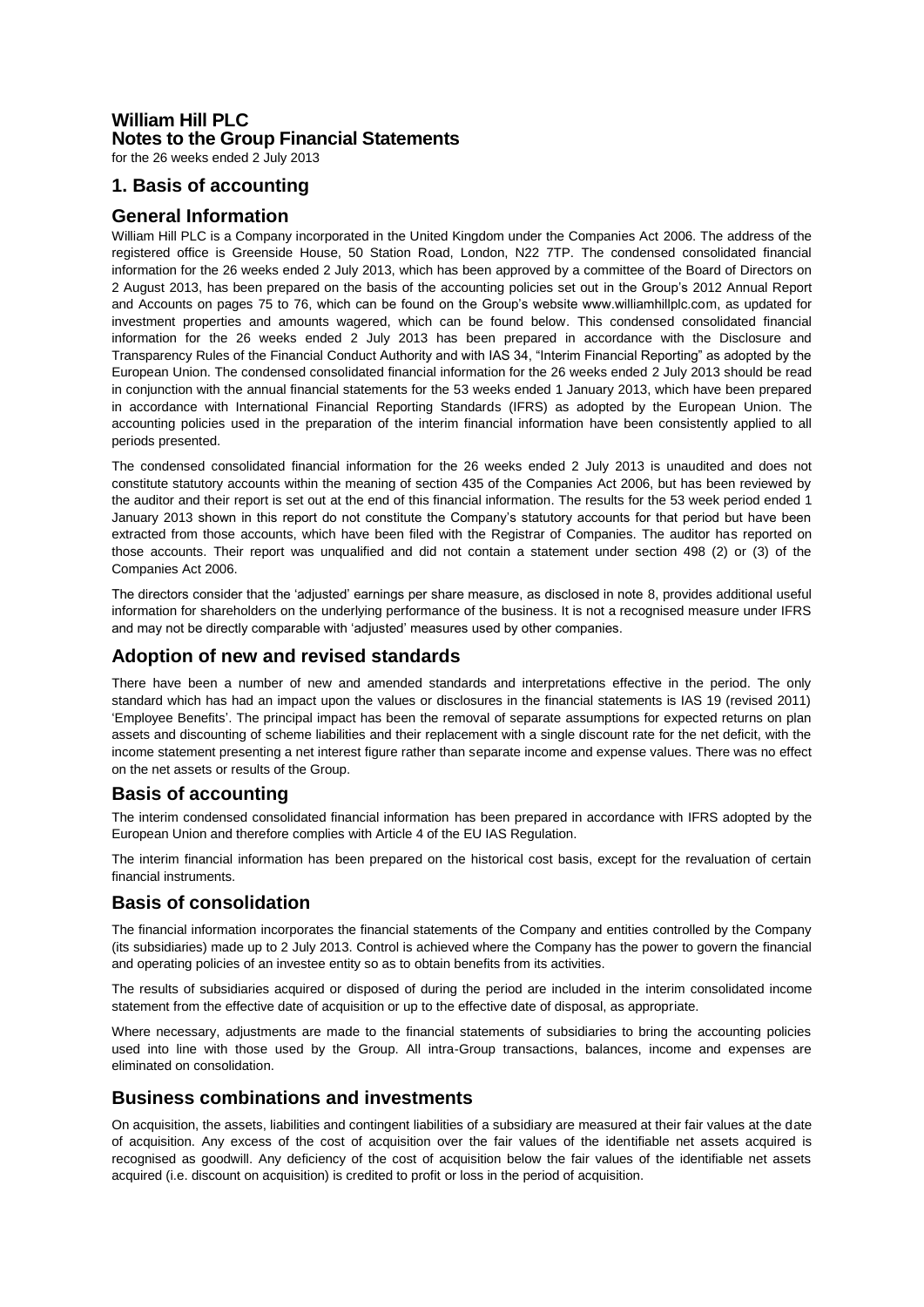# **William Hill PLC Notes to the Group Financial Statements**

for the 26 weeks ended 2 July 2013

# **1. Basis of accounting**

### **General Information**

William Hill PLC is a Company incorporated in the United Kingdom under the Companies Act 2006. The address of the registered office is Greenside House, 50 Station Road, London, N22 7TP. The condensed consolidated financial information for the 26 weeks ended 2 July 2013, which has been approved by a committee of the Board of Directors on 2 August 2013, has been prepared on the basis of the accounting policies set out in the Group's 2012 Annual Report and Accounts on pages 75 to 76, which can be found on the Group's website www.williamhillplc.com, as updated for investment properties and amounts wagered, which can be found below. This condensed consolidated financial information for the 26 weeks ended 2 July 2013 has been prepared in accordance with the Disclosure and Transparency Rules of the Financial Conduct Authority and with IAS 34, "Interim Financial Reporting" as adopted by the European Union. The condensed consolidated financial information for the 26 weeks ended 2 July 2013 should be read in conjunction with the annual financial statements for the 53 weeks ended 1 January 2013, which have been prepared in accordance with International Financial Reporting Standards (IFRS) as adopted by the European Union. The accounting policies used in the preparation of the interim financial information have been consistently applied to all periods presented.

The condensed consolidated financial information for the 26 weeks ended 2 July 2013 is unaudited and does not constitute statutory accounts within the meaning of section 435 of the Companies Act 2006, but has been reviewed by the auditor and their report is set out at the end of this financial information. The results for the 53 week period ended 1 January 2013 shown in this report do not constitute the Company's statutory accounts for that period but have been extracted from those accounts, which have been filed with the Registrar of Companies. The auditor has reported on those accounts. Their report was unqualified and did not contain a statement under section 498 (2) or (3) of the Companies Act 2006.

The directors consider that the 'adjusted' earnings per share measure, as disclosed in note 8, provides additional useful information for shareholders on the underlying performance of the business. It is not a recognised measure under IFRS and may not be directly comparable with 'adjusted' measures used by other companies.

## **Adoption of new and revised standards**

There have been a number of new and amended standards and interpretations effective in the period. The only standard which has had an impact upon the values or disclosures in the financial statements is IAS 19 (revised 2011) 'Employee Benefits'. The principal impact has been the removal of separate assumptions for expected returns on plan assets and discounting of scheme liabilities and their replacement with a single discount rate for the net deficit, with the income statement presenting a net interest figure rather than separate income and expense values. There was no effect on the net assets or results of the Group.

## **Basis of accounting**

The interim condensed consolidated financial information has been prepared in accordance with IFRS adopted by the European Union and therefore complies with Article 4 of the EU IAS Regulation.

The interim financial information has been prepared on the historical cost basis, except for the revaluation of certain financial instruments.

## **Basis of consolidation**

The financial information incorporates the financial statements of the Company and entities controlled by the Company (its subsidiaries) made up to 2 July 2013. Control is achieved where the Company has the power to govern the financial and operating policies of an investee entity so as to obtain benefits from its activities.

The results of subsidiaries acquired or disposed of during the period are included in the interim consolidated income statement from the effective date of acquisition or up to the effective date of disposal, as appropriate.

Where necessary, adjustments are made to the financial statements of subsidiaries to bring the accounting policies used into line with those used by the Group. All intra-Group transactions, balances, income and expenses are eliminated on consolidation.

## **Business combinations and investments**

On acquisition, the assets, liabilities and contingent liabilities of a subsidiary are measured at their fair values at the date of acquisition. Any excess of the cost of acquisition over the fair values of the identifiable net assets acquired is recognised as goodwill. Any deficiency of the cost of acquisition below the fair values of the identifiable net assets acquired (i.e. discount on acquisition) is credited to profit or loss in the period of acquisition.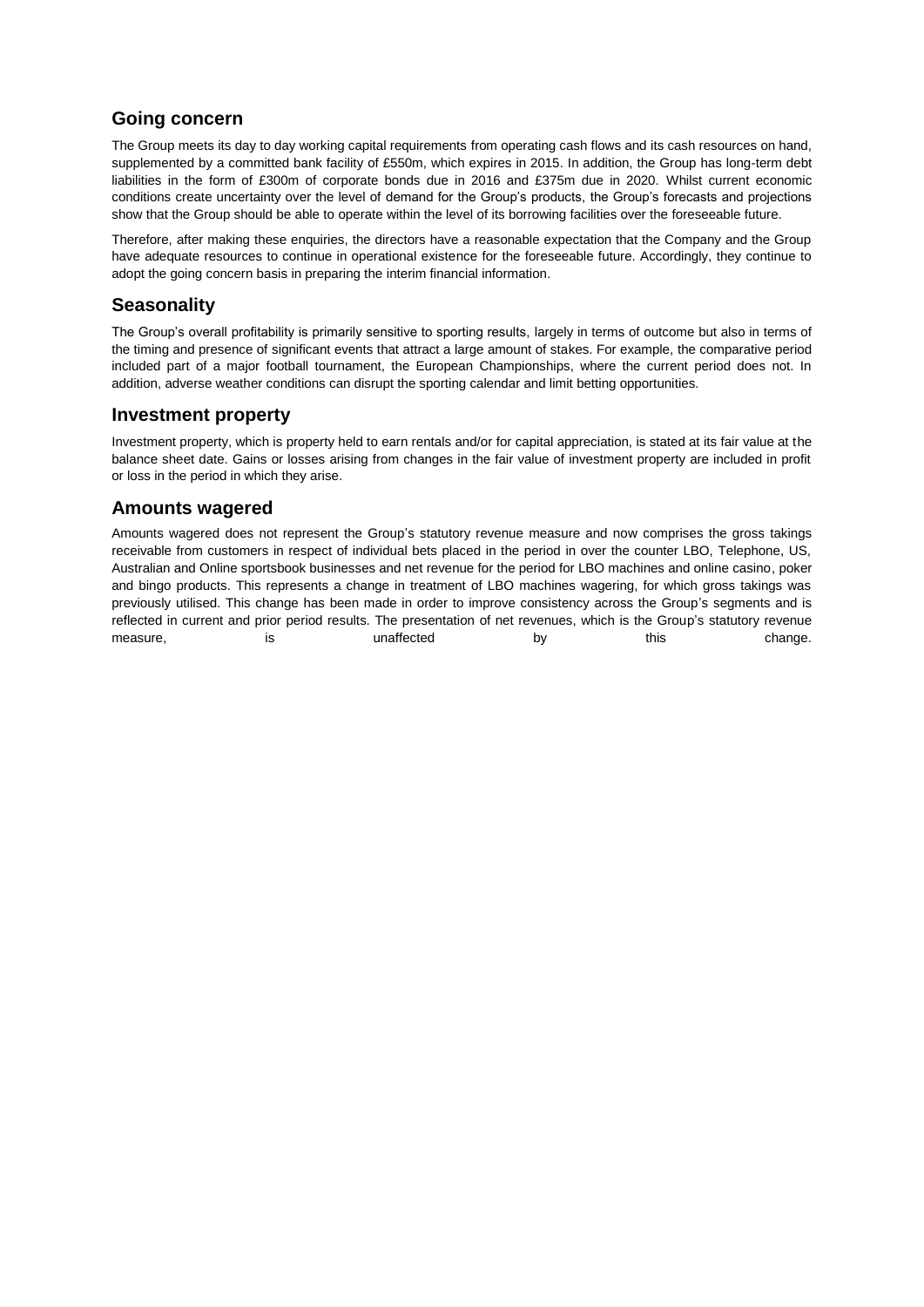# **Going concern**

The Group meets its day to day working capital requirements from operating cash flows and its cash resources on hand, supplemented by a committed bank facility of £550m, which expires in 2015. In addition, the Group has long-term debt liabilities in the form of £300m of corporate bonds due in 2016 and £375m due in 2020. Whilst current economic conditions create uncertainty over the level of demand for the Group's products, the Group's forecasts and projections show that the Group should be able to operate within the level of its borrowing facilities over the foreseeable future.

Therefore, after making these enquiries, the directors have a reasonable expectation that the Company and the Group have adequate resources to continue in operational existence for the foreseeable future. Accordingly, they continue to adopt the going concern basis in preparing the interim financial information.

## **Seasonality**

The Group's overall profitability is primarily sensitive to sporting results, largely in terms of outcome but also in terms of the timing and presence of significant events that attract a large amount of stakes. For example, the comparative period included part of a major football tournament, the European Championships, where the current period does not. In addition, adverse weather conditions can disrupt the sporting calendar and limit betting opportunities.

## **Investment property**

Investment property, which is property held to earn rentals and/or for capital appreciation, is stated at its fair value at the balance sheet date. Gains or losses arising from changes in the fair value of investment property are included in profit or loss in the period in which they arise.

## **Amounts wagered**

Amounts wagered does not represent the Group's statutory revenue measure and now comprises the gross takings receivable from customers in respect of individual bets placed in the period in over the counter LBO, Telephone, US, Australian and Online sportsbook businesses and net revenue for the period for LBO machines and online casino, poker and bingo products. This represents a change in treatment of LBO machines wagering, for which gross takings was previously utilised. This change has been made in order to improve consistency across the Group's segments and is reflected in current and prior period results. The presentation of net revenues, which is the Group's statutory revenue measure, is unaffected by this change.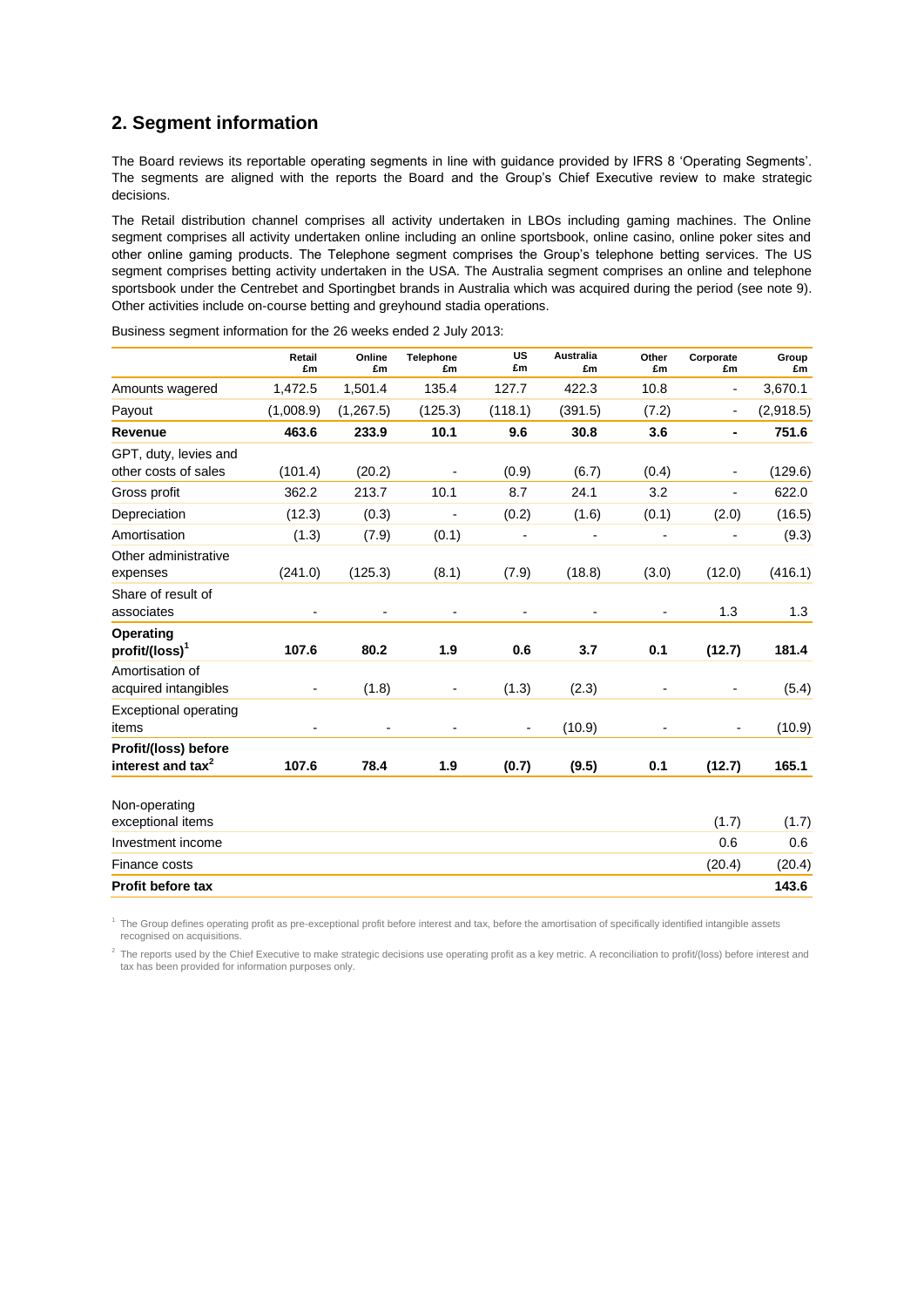## **2. Segment information**

The Board reviews its reportable operating segments in line with guidance provided by IFRS 8 'Operating Segments'. The segments are aligned with the reports the Board and the Group's Chief Executive review to make strategic decisions.

The Retail distribution channel comprises all activity undertaken in LBOs including gaming machines. The Online segment comprises all activity undertaken online including an online sportsbook, online casino, online poker sites and other online gaming products. The Telephone segment comprises the Group's telephone betting services. The US segment comprises betting activity undertaken in the USA. The Australia segment comprises an online and telephone sportsbook under the Centrebet and Sportingbet brands in Australia which was acquired during the period (see note 9). Other activities include on-course betting and greyhound stadia operations.

|                                                       | Retail<br>£m             | Online<br>£m | <b>Telephone</b><br>£m   | US<br>£m                 | <b>Australia</b><br>£m | Other<br>£m              | Corporate<br>£m              | Group<br>£m |
|-------------------------------------------------------|--------------------------|--------------|--------------------------|--------------------------|------------------------|--------------------------|------------------------------|-------------|
| Amounts wagered                                       | 1,472.5                  | 1,501.4      | 135.4                    | 127.7                    | 422.3                  | 10.8                     | $\overline{\phantom{0}}$     | 3,670.1     |
| Payout                                                | (1,008.9)                | (1, 267.5)   | (125.3)                  | (118.1)                  | (391.5)                | (7.2)                    | $\overline{\phantom{a}}$     | (2,918.5)   |
| <b>Revenue</b>                                        | 463.6                    | 233.9        | 10.1                     | 9.6                      | 30.8                   | 3.6                      | ٠                            | 751.6       |
| GPT, duty, levies and                                 |                          |              |                          |                          |                        |                          |                              |             |
| other costs of sales                                  | (101.4)                  | (20.2)       |                          | (0.9)                    | (6.7)                  | (0.4)                    | $\qquad \qquad \blacksquare$ | (129.6)     |
| Gross profit                                          | 362.2                    | 213.7        | 10.1                     | 8.7                      | 24.1                   | 3.2                      | L.                           | 622.0       |
| Depreciation                                          | (12.3)                   | (0.3)        | ÷,                       | (0.2)                    | (1.6)                  | (0.1)                    | (2.0)                        | (16.5)      |
| Amortisation                                          | (1.3)                    | (7.9)        | (0.1)                    | $\overline{\phantom{a}}$ |                        | $\overline{\phantom{0}}$ |                              | (9.3)       |
| Other administrative<br>expenses                      | (241.0)                  | (125.3)      | (8.1)                    | (7.9)                    | (18.8)                 | (3.0)                    | (12.0)                       | (416.1)     |
| Share of result of<br>associates                      |                          |              |                          | -                        |                        |                          | 1.3                          | 1.3         |
| Operating<br>profit/(loss) <sup>1</sup>               | 107.6                    | 80.2         | 1.9                      | 0.6                      | 3.7                    | 0.1                      | (12.7)                       | 181.4       |
| Amortisation of<br>acquired intangibles               | $\blacksquare$           | (1.8)        | $\overline{\phantom{a}}$ | (1.3)                    | (2.3)                  |                          | $\overline{\phantom{a}}$     | (5.4)       |
| <b>Exceptional operating</b><br>items                 | $\overline{\phantom{a}}$ | ÷            | $\overline{a}$           | $\overline{\phantom{a}}$ | (10.9)                 |                          |                              | (10.9)      |
| Profit/(loss) before<br>interest and tax <sup>2</sup> | 107.6                    | 78.4         | 1.9                      | (0.7)                    | (9.5)                  | 0.1                      | (12.7)                       | 165.1       |
| Non-operating<br>exceptional items                    |                          |              |                          |                          |                        |                          | (1.7)                        | (1.7)       |
| Investment income                                     |                          |              |                          |                          |                        |                          | 0.6                          | 0.6         |
| Finance costs                                         |                          |              |                          |                          |                        |                          | (20.4)                       | (20.4)      |
| <b>Profit before tax</b>                              |                          |              |                          |                          |                        |                          |                              | 143.6       |

Business segment information for the 26 weeks ended 2 July 2013:

<sup>1</sup> The Group defines operating profit as pre-exceptional profit before interest and tax, before the amortisation of specifically identified intangible assets recognised on acquisitions.

 $^2$  The reports used by the Chief Executive to make strategic decisions use operating profit as a key metric. A reconciliation to profit/(loss) before interest and tax has been provided for information purposes only.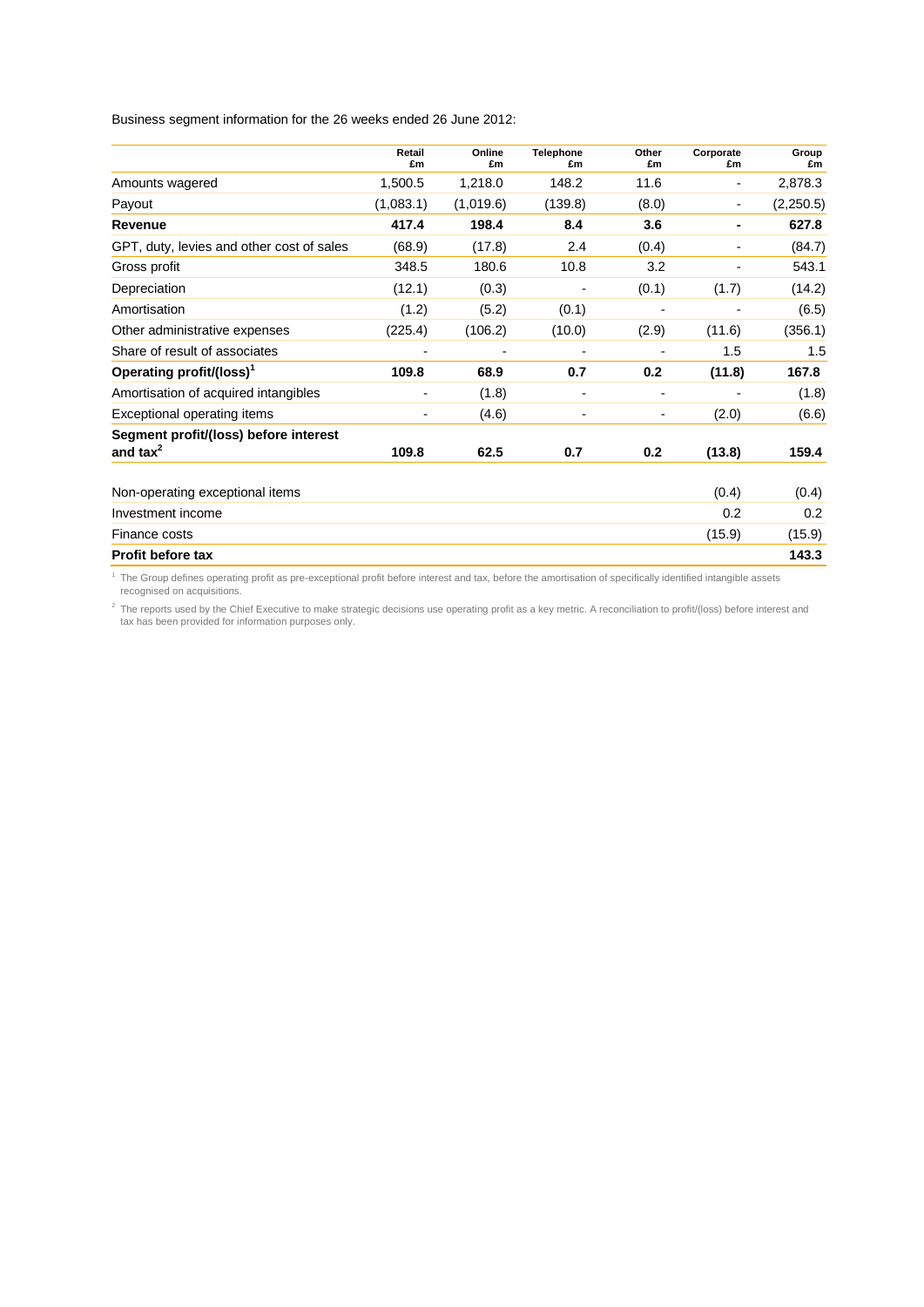Business segment information for the 26 weeks ended 26 June 2012:

|                                           | Retail<br>£m             | Online<br>£m | <b>Telephone</b><br>£m | Other<br>£m | Corporate<br>£m          | Group<br>£m |
|-------------------------------------------|--------------------------|--------------|------------------------|-------------|--------------------------|-------------|
| Amounts wagered                           | 1,500.5                  | 1,218.0      | 148.2                  | 11.6        | $\overline{\phantom{a}}$ | 2,878.3     |
| Payout                                    | (1,083.1)                | (1,019.6)    | (139.8)                | (8.0)       | $\overline{\phantom{a}}$ | (2,250.5)   |
| Revenue                                   | 417.4                    | 198.4        | 8.4                    | 3.6         |                          | 627.8       |
| GPT, duty, levies and other cost of sales | (68.9)                   | (17.8)       | 2.4                    | (0.4)       | $\overline{\phantom{a}}$ | (84.7)      |
| Gross profit                              | 348.5                    | 180.6        | 10.8                   | 3.2         |                          | 543.1       |
| Depreciation                              | (12.1)                   | (0.3)        |                        | (0.1)       | (1.7)                    | (14.2)      |
| Amortisation                              | (1.2)                    | (5.2)        | (0.1)                  |             |                          | (6.5)       |
| Other administrative expenses             | (225.4)                  | (106.2)      | (10.0)                 | (2.9)       | (11.6)                   | (356.1)     |
| Share of result of associates             |                          |              | $\overline{a}$         |             | 1.5                      | 1.5         |
| Operating profit/(loss) <sup>1</sup>      | 109.8                    | 68.9         | 0.7                    | 0.2         | (11.8)                   | 167.8       |
| Amortisation of acquired intangibles      | $\overline{\phantom{a}}$ | (1.8)        | -                      |             |                          | (1.8)       |
| Exceptional operating items               |                          | (4.6)        | -                      |             | (2.0)                    | (6.6)       |
| Segment profit/(loss) before interest     |                          |              |                        |             |                          |             |
| and tax <sup>2</sup>                      | 109.8                    | 62.5         | 0.7                    | 0.2         | (13.8)                   | 159.4       |
| Non-operating exceptional items           |                          |              |                        |             | (0.4)                    | (0.4)       |
| Investment income                         |                          |              |                        |             | 0.2                      | 0.2         |
| Finance costs                             |                          |              |                        |             | (15.9)                   | (15.9)      |
| Profit before tax                         |                          |              |                        |             |                          | 143.3       |
|                                           |                          |              |                        |             |                          |             |

<sup>1</sup> The Group defines operating profit as pre-exceptional profit before interest and tax, before the amortisation of specifically identified intangible assets recognised on acquisitions.

 $^2$  The reports used by the Chief Executive to make strategic decisions use operating profit as a key metric. A reconciliation to profit/(loss) before interest and tax has been provided for information purposes only.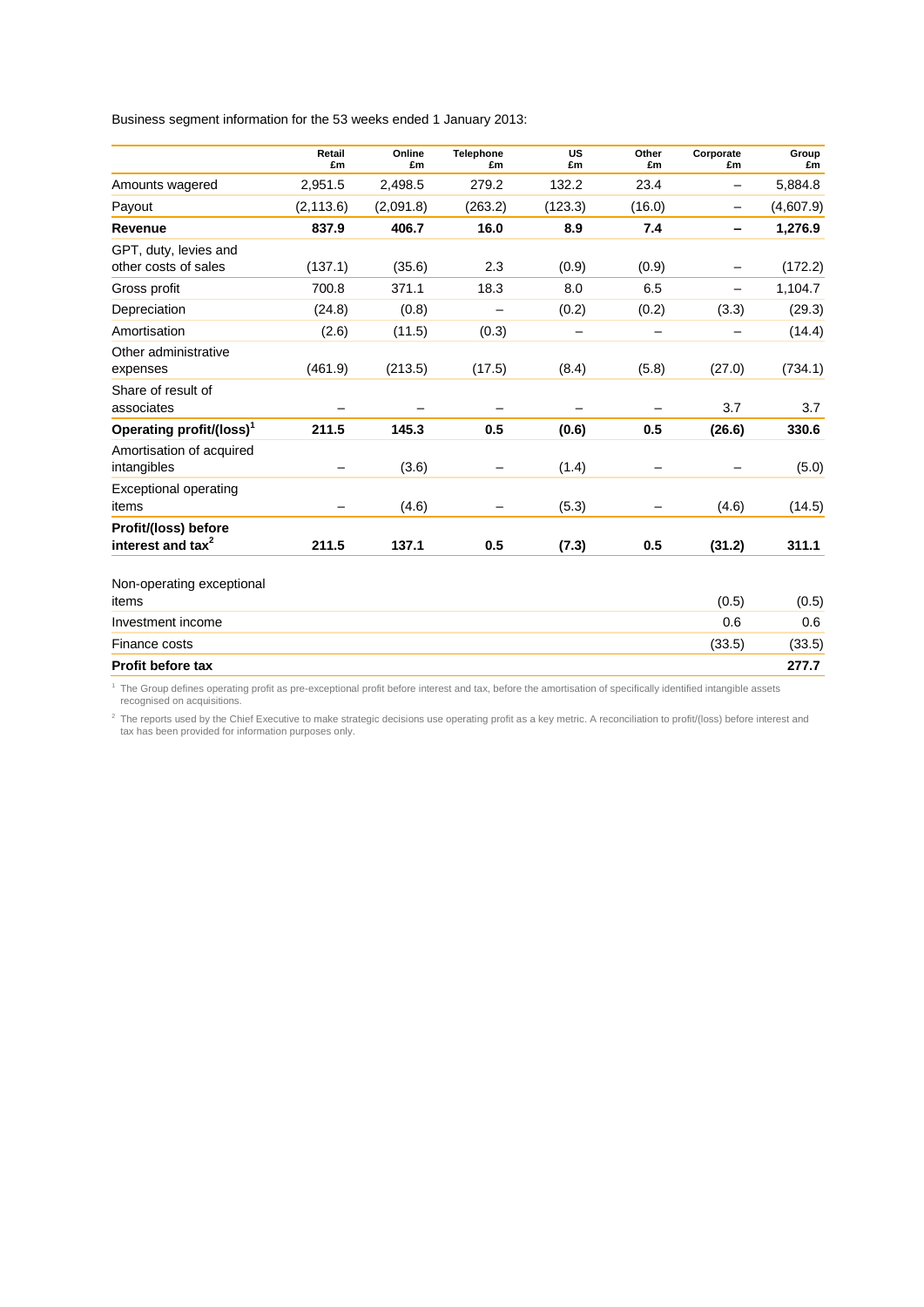Business segment information for the 53 weeks ended 1 January 2013:

|                                                       | Retail<br>£m | Online<br>£m | <b>Telephone</b><br>£m   | US<br>£m | Other<br>£m | Corporate<br>£m          | Group<br>£m |
|-------------------------------------------------------|--------------|--------------|--------------------------|----------|-------------|--------------------------|-------------|
| Amounts wagered                                       | 2,951.5      | 2,498.5      | 279.2                    | 132.2    | 23.4        | $\overline{\phantom{0}}$ | 5,884.8     |
| Payout                                                | (2, 113.6)   | (2,091.8)    | (263.2)                  | (123.3)  | (16.0)      | —                        | (4,607.9)   |
| Revenue                                               | 837.9        | 406.7        | 16.0                     | 8.9      | 7.4         | -                        | 1,276.9     |
| GPT, duty, levies and                                 |              |              |                          |          |             |                          |             |
| other costs of sales                                  | (137.1)      | (35.6)       | 2.3                      | (0.9)    | (0.9)       | -                        | (172.2)     |
| Gross profit                                          | 700.8        | 371.1        | 18.3                     | 8.0      | 6.5         | -                        | 1,104.7     |
| Depreciation                                          | (24.8)       | (0.8)        | -                        | (0.2)    | (0.2)       | (3.3)                    | (29.3)      |
| Amortisation                                          | (2.6)        | (11.5)       | (0.3)                    |          | -           |                          | (14.4)      |
| Other administrative<br>expenses                      | (461.9)      | (213.5)      | (17.5)                   | (8.4)    | (5.8)       | (27.0)                   | (734.1)     |
| Share of result of<br>associates                      |              |              |                          |          |             | 3.7                      | 3.7         |
| Operating profit/(loss) <sup>1</sup>                  | 211.5        | 145.3        | 0.5                      | (0.6)    | 0.5         | (26.6)                   | 330.6       |
| Amortisation of acquired<br>intangibles               |              | (3.6)        |                          | (1.4)    |             |                          | (5.0)       |
| <b>Exceptional operating</b><br>items                 |              | (4.6)        | $\overline{\phantom{0}}$ | (5.3)    |             | (4.6)                    | (14.5)      |
| Profit/(loss) before<br>interest and tax <sup>2</sup> | 211.5        | 137.1        | 0.5                      | (7.3)    | 0.5         | (31.2)                   | 311.1       |
| Non-operating exceptional<br>items                    |              |              |                          |          |             | (0.5)                    | (0.5)       |
| Investment income                                     |              |              |                          |          |             | 0.6                      | 0.6         |
| Finance costs                                         |              |              |                          |          |             | (33.5)                   | (33.5)      |
| <b>Profit before tax</b>                              |              |              |                          |          |             |                          | 277.7       |

<sup>1</sup> The Group defines operating profit as pre-exceptional profit before interest and tax, before the amortisation of specifically identified intangible assets recognised on acquisitions.

 $2$  The reports used by the Chief Executive to make strategic decisions use operating profit as a key metric. A reconciliation to profit/(loss) before interest and tax has been provided for information purposes only.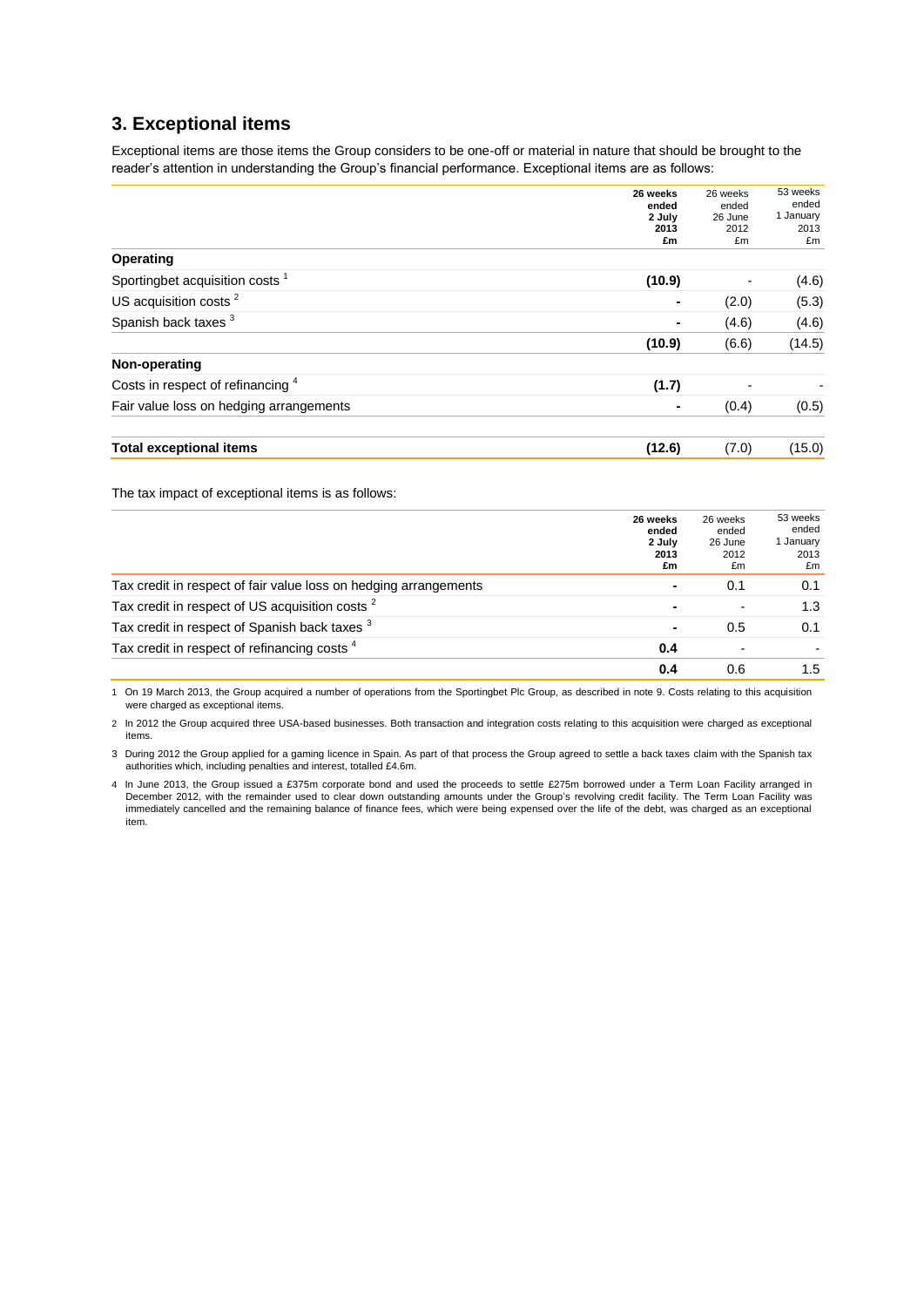# **3. Exceptional items**

Exceptional items are those items the Group considers to be one-off or material in nature that should be brought to the reader's attention in understanding the Group's financial performance. Exceptional items are as follows:

|                                              | 26 weeks<br>ended<br>2 July<br>2013<br>£m | 26 weeks<br>ended<br>26 June<br>2012<br>£m | 53 weeks<br>ended<br>1 January<br>2013<br>£m |
|----------------------------------------------|-------------------------------------------|--------------------------------------------|----------------------------------------------|
| Operating                                    |                                           |                                            |                                              |
| Sportingbet acquisition costs <sup>1</sup>   | (10.9)                                    |                                            | (4.6)                                        |
| US acquisition costs $2$                     | ۰                                         | (2.0)                                      | (5.3)                                        |
| Spanish back taxes <sup>3</sup>              |                                           | (4.6)                                      | (4.6)                                        |
|                                              | (10.9)                                    | (6.6)                                      | (14.5)                                       |
| Non-operating                                |                                           |                                            |                                              |
| Costs in respect of refinancing <sup>4</sup> | (1.7)                                     |                                            |                                              |
| Fair value loss on hedging arrangements      | ۰                                         | (0.4)                                      | (0.5)                                        |
| <b>Total exceptional items</b>               | (12.6)                                    | (7.0)                                      | (15.0)                                       |

The tax impact of exceptional items is as follows:

|                                                                  | 26 weeks<br>ended<br>2 July<br>2013<br>£m | 26 weeks<br>ended<br>26 June<br>2012<br>£m | 53 weeks<br>ended<br>I January<br>2013<br>£m |
|------------------------------------------------------------------|-------------------------------------------|--------------------------------------------|----------------------------------------------|
| Tax credit in respect of fair value loss on hedging arrangements |                                           | 0.1                                        | 0.1                                          |
| Tax credit in respect of US acquisition costs <sup>2</sup>       |                                           | ٠                                          | 1.3                                          |
| Tax credit in respect of Spanish back taxes 3                    |                                           | 0.5                                        | 0.1                                          |
| Tax credit in respect of refinancing costs <sup>4</sup>          | 0.4                                       |                                            |                                              |
|                                                                  | 0.4                                       | 0.6                                        | 1.5                                          |

1 On 19 March 2013, the Group acquired a number of operations from the Sportingbet Plc Group, as described in note 9. Costs relating to this acquisition were charged as exceptional items.

2 In 2012 the Group acquired three USA-based businesses. Both transaction and integration costs relating to this acquisition were charged as exceptional items.

3 During 2012 the Group applied for a gaming licence in Spain. As part of that process the Group agreed to settle a back taxes claim with the Spanish tax authorities which, including penalties and interest, totalled £4.6m.

4 In June 2013, the Group issued a £375m corporate bond and used the proceeds to settle £275m borrowed under a Term Loan Facility arranged in December 2012, with the remainder used to clear down outstanding amounts under the Group's revolving credit facility. The Term Loan Facility was immediately cancelled and the remaining balance of finance fees, which were being expensed over the life of the debt, was charged as an exceptional item.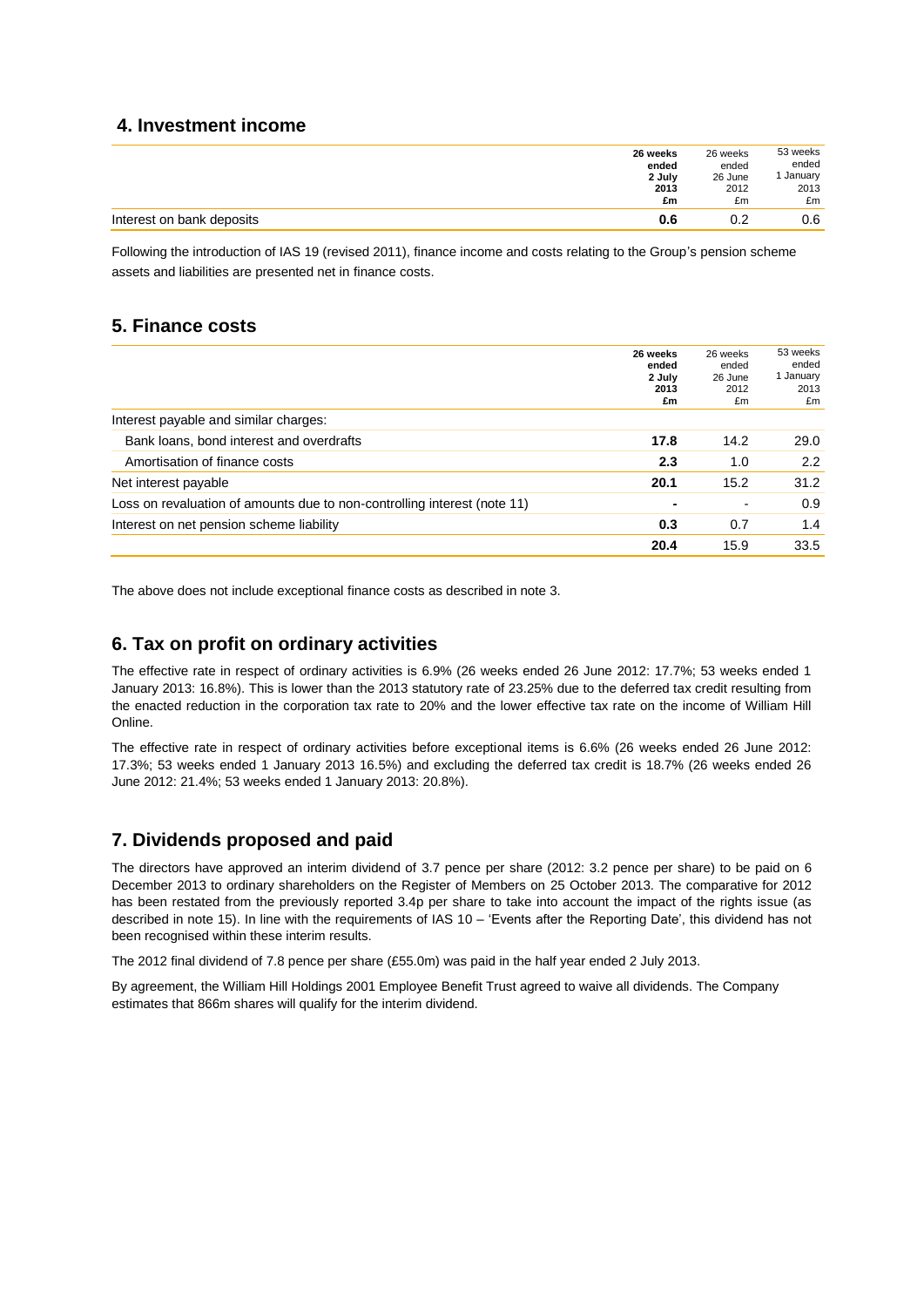### **4. Investment income**

|                           | 26 weeks | 26 weeks | 53 weeks |
|---------------------------|----------|----------|----------|
|                           | ended    | ended    | ended    |
|                           | 2 July   | 26 June  | January  |
|                           | 2013     | 2012     | 2013     |
|                           | £m       | £m       | £m       |
| Interest on bank deposits | 0.6      |          | 0.6      |

Following the introduction of IAS 19 (revised 2011), finance income and costs relating to the Group's pension scheme assets and liabilities are presented net in finance costs.

## **5. Finance costs**

|                                                                          | 26 weeks<br>ended<br>2 July<br>2013<br>£m | 26 weeks<br>ended<br>26 June<br>2012<br>£m | 53 weeks<br>ended<br>1 January<br>2013<br>£m |
|--------------------------------------------------------------------------|-------------------------------------------|--------------------------------------------|----------------------------------------------|
| Interest payable and similar charges:                                    |                                           |                                            |                                              |
| Bank loans, bond interest and overdrafts                                 | 17.8                                      | 14.2                                       | 29.0                                         |
| Amortisation of finance costs                                            | 2.3                                       | 1.0                                        | 2.2                                          |
| Net interest payable                                                     | 20.1                                      | 15.2                                       | 31.2                                         |
| Loss on revaluation of amounts due to non-controlling interest (note 11) |                                           | ٠                                          | 0.9                                          |
| Interest on net pension scheme liability                                 | 0.3                                       | 0.7                                        | 1.4                                          |
|                                                                          | 20.4                                      | 15.9                                       | 33.5                                         |

The above does not include exceptional finance costs as described in note 3.

## **6. Tax on profit on ordinary activities**

The effective rate in respect of ordinary activities is 6.9% (26 weeks ended 26 June 2012: 17.7%; 53 weeks ended 1 January 2013: 16.8%). This is lower than the 2013 statutory rate of 23.25% due to the deferred tax credit resulting from the enacted reduction in the corporation tax rate to 20% and the lower effective tax rate on the income of William Hill Online.

The effective rate in respect of ordinary activities before exceptional items is 6.6% (26 weeks ended 26 June 2012: 17.3%; 53 weeks ended 1 January 2013 16.5%) and excluding the deferred tax credit is 18.7% (26 weeks ended 26 June 2012: 21.4%; 53 weeks ended 1 January 2013: 20.8%).

# **7. Dividends proposed and paid**

The directors have approved an interim dividend of 3.7 pence per share (2012: 3.2 pence per share) to be paid on 6 December 2013 to ordinary shareholders on the Register of Members on 25 October 2013. The comparative for 2012 has been restated from the previously reported 3.4p per share to take into account the impact of the rights issue (as described in note 15). In line with the requirements of IAS 10 – 'Events after the Reporting Date', this dividend has not been recognised within these interim results.

The 2012 final dividend of 7.8 pence per share (£55.0m) was paid in the half year ended 2 July 2013.

By agreement, the William Hill Holdings 2001 Employee Benefit Trust agreed to waive all dividends. The Company estimates that 866m shares will qualify for the interim dividend.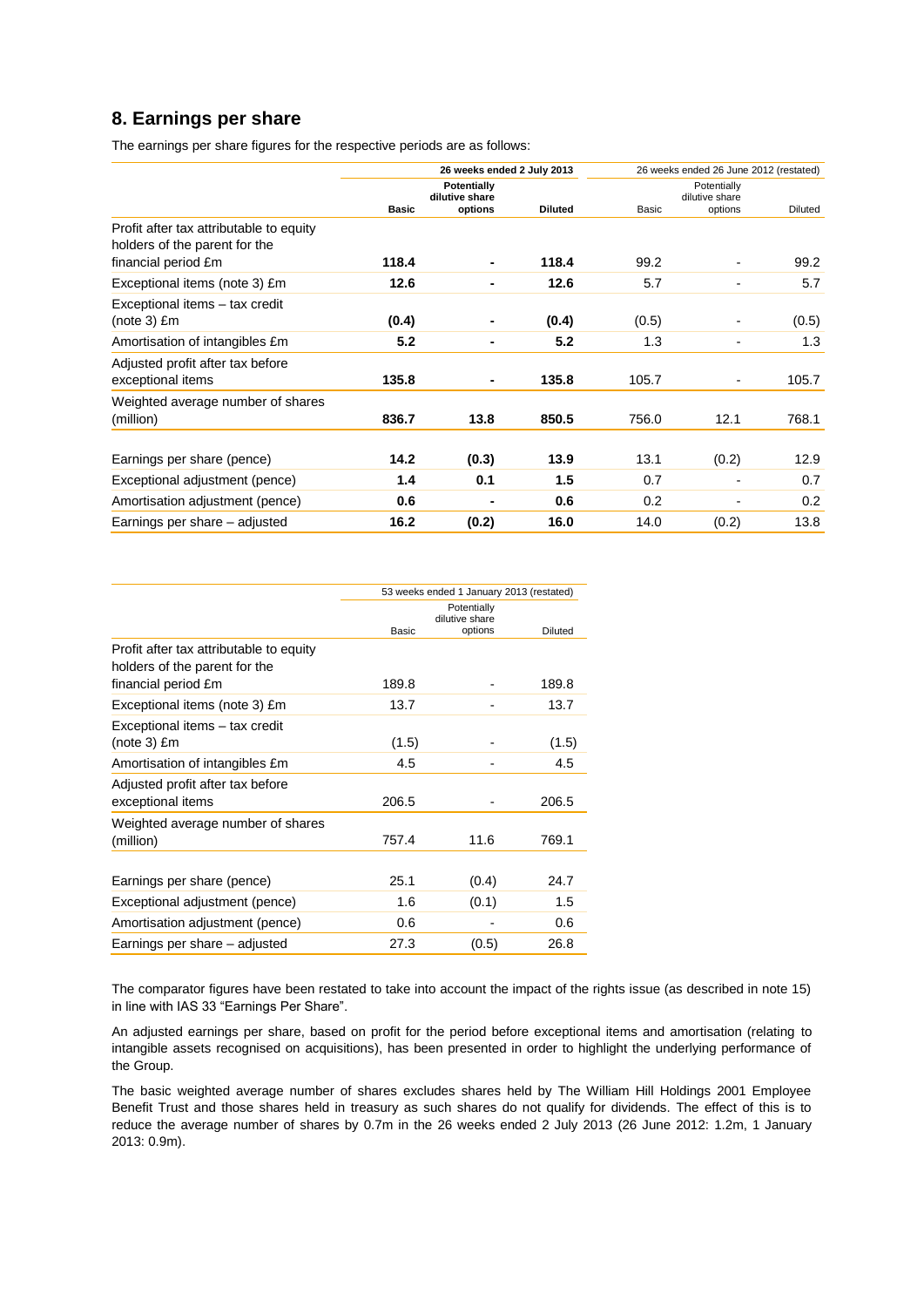# **8. Earnings per share**

The earnings per share figures for the respective periods are as follows:

|                                                                          |                                      | 26 weeks ended 2 July 2013 |                |       | 26 weeks ended 26 June 2012 (restated) |                |
|--------------------------------------------------------------------------|--------------------------------------|----------------------------|----------------|-------|----------------------------------------|----------------|
|                                                                          | <b>Potentially</b><br>dilutive share |                            |                |       | Potentially<br>dilutive share          |                |
|                                                                          | <b>Basic</b>                         | options                    | <b>Diluted</b> | Basic | options                                | <b>Diluted</b> |
| Profit after tax attributable to equity<br>holders of the parent for the |                                      |                            |                |       |                                        |                |
| financial period £m                                                      | 118.4                                |                            | 118.4          | 99.2  |                                        | 99.2           |
| Exceptional items (note 3) £m                                            | 12.6                                 |                            | 12.6           | 5.7   |                                        | 5.7            |
| Exceptional items - tax credit                                           |                                      |                            |                |       |                                        |                |
| $(note 3)$ $Em$                                                          | (0.4)                                |                            | (0.4)          | (0.5) |                                        | (0.5)          |
| Amortisation of intangibles £m                                           | 5.2                                  |                            | 5.2            | 1.3   |                                        | 1.3            |
| Adjusted profit after tax before                                         |                                      |                            |                |       |                                        |                |
| exceptional items                                                        | 135.8                                |                            | 135.8          | 105.7 |                                        | 105.7          |
| Weighted average number of shares                                        |                                      |                            |                |       |                                        |                |
| (million)                                                                | 836.7                                | 13.8                       | 850.5          | 756.0 | 12.1                                   | 768.1          |
|                                                                          |                                      |                            |                |       |                                        |                |
| Earnings per share (pence)                                               | 14.2                                 | (0.3)                      | 13.9           | 13.1  | (0.2)                                  | 12.9           |
| Exceptional adjustment (pence)                                           | 1.4                                  | 0.1                        | 1.5            | 0.7   |                                        | 0.7            |
| Amortisation adjustment (pence)                                          | 0.6                                  |                            | 0.6            | 0.2   |                                        | 0.2            |
| Earnings per share – adjusted                                            | 16.2                                 | (0.2)                      | 16.0           | 14.0  | (0.2)                                  | 13.8           |

|                                                                                                 |       | 53 weeks ended 1 January 2013 (restated) |         |
|-------------------------------------------------------------------------------------------------|-------|------------------------------------------|---------|
|                                                                                                 |       | Potentially                              |         |
|                                                                                                 | Basic | dilutive share<br>options                | Diluted |
| Profit after tax attributable to equity<br>holders of the parent for the<br>financial period £m | 189.8 |                                          | 189.8   |
|                                                                                                 | 13.7  |                                          |         |
| Exceptional items (note 3) £m                                                                   |       |                                          | 13.7    |
| Exceptional items - tax credit                                                                  |       |                                          |         |
| $(note 3)$ $Em$                                                                                 | (1.5) |                                          | (1.5)   |
| Amortisation of intangibles £m                                                                  | 4.5   |                                          | 4.5     |
| Adjusted profit after tax before                                                                |       |                                          |         |
| exceptional items                                                                               | 206.5 |                                          | 206.5   |
| Weighted average number of shares                                                               |       |                                          |         |
| (million)                                                                                       | 757.4 | 11.6                                     | 769.1   |
|                                                                                                 |       |                                          |         |
| Earnings per share (pence)                                                                      | 25.1  | (0.4)                                    | 24.7    |
| Exceptional adjustment (pence)                                                                  | 1.6   | (0.1)                                    | 1.5     |
| Amortisation adjustment (pence)                                                                 | 0.6   |                                          | 0.6     |
| Earnings per share – adjusted                                                                   | 27.3  | (0.5)                                    | 26.8    |
|                                                                                                 |       |                                          |         |

The comparator figures have been restated to take into account the impact of the rights issue (as described in note 15) in line with IAS 33 "Earnings Per Share".

An adjusted earnings per share, based on profit for the period before exceptional items and amortisation (relating to intangible assets recognised on acquisitions), has been presented in order to highlight the underlying performance of the Group.

The basic weighted average number of shares excludes shares held by The William Hill Holdings 2001 Employee Benefit Trust and those shares held in treasury as such shares do not qualify for dividends. The effect of this is to reduce the average number of shares by 0.7m in the 26 weeks ended 2 July 2013 (26 June 2012: 1.2m, 1 January 2013: 0.9m).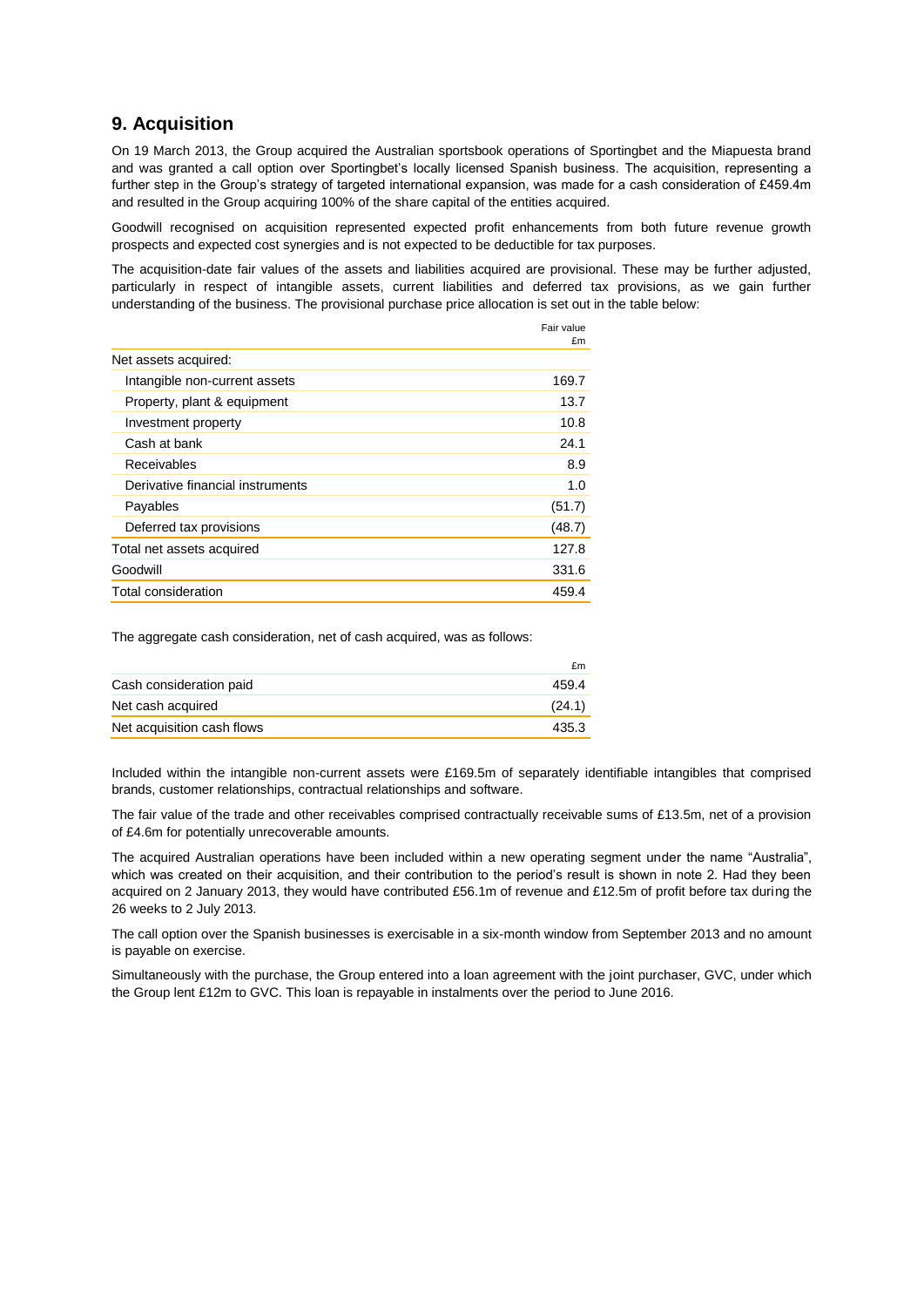## **9. Acquisition**

On 19 March 2013, the Group acquired the Australian sportsbook operations of Sportingbet and the Miapuesta brand and was granted a call option over Sportingbet's locally licensed Spanish business. The acquisition, representing a further step in the Group's strategy of targeted international expansion, was made for a cash consideration of £459.4m and resulted in the Group acquiring 100% of the share capital of the entities acquired.

Goodwill recognised on acquisition represented expected profit enhancements from both future revenue growth prospects and expected cost synergies and is not expected to be deductible for tax purposes.

The acquisition-date fair values of the assets and liabilities acquired are provisional. These may be further adjusted, particularly in respect of intangible assets, current liabilities and deferred tax provisions, as we gain further understanding of the business. The provisional purchase price allocation is set out in the table below:

|                                  | Fair value |
|----------------------------------|------------|
|                                  | £m         |
| Net assets acquired:             |            |
| Intangible non-current assets    | 169.7      |
| Property, plant & equipment      | 13.7       |
| Investment property              | 10.8       |
| Cash at bank                     | 24.1       |
| Receivables                      | 8.9        |
| Derivative financial instruments | 1.0        |
| Payables                         | (51.7)     |
| Deferred tax provisions          | (48.7)     |
| Total net assets acquired        | 127.8      |
| Goodwill                         | 331.6      |
| Total consideration              | 459.4      |

The aggregate cash consideration, net of cash acquired, was as follows:

|                            | fm     |
|----------------------------|--------|
| Cash consideration paid    | 459.4  |
| Net cash acquired          | (24.1) |
| Net acquisition cash flows | 435.3  |

Included within the intangible non-current assets were £169.5m of separately identifiable intangibles that comprised brands, customer relationships, contractual relationships and software.

The fair value of the trade and other receivables comprised contractually receivable sums of £13.5m, net of a provision of £4.6m for potentially unrecoverable amounts.

The acquired Australian operations have been included within a new operating segment under the name "Australia", which was created on their acquisition, and their contribution to the period's result is shown in note 2. Had they been acquired on 2 January 2013, they would have contributed £56.1m of revenue and £12.5m of profit before tax during the 26 weeks to 2 July 2013.

The call option over the Spanish businesses is exercisable in a six-month window from September 2013 and no amount is payable on exercise.

Simultaneously with the purchase, the Group entered into a loan agreement with the joint purchaser, GVC, under which the Group lent £12m to GVC. This loan is repayable in instalments over the period to June 2016.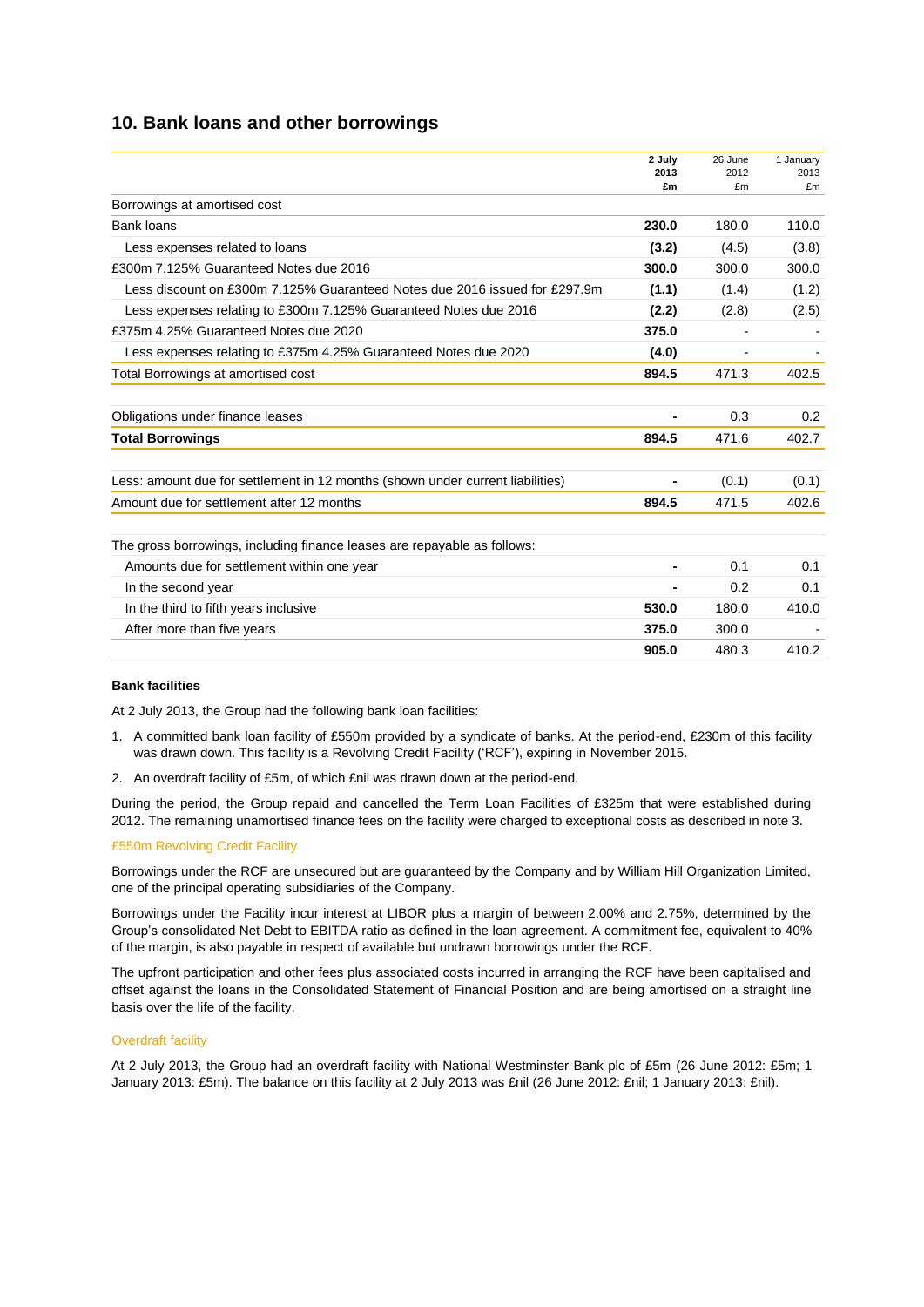### **10. Bank loans and other borrowings**

|                                                                                | 2 July     | 26 June      | 1 January  |
|--------------------------------------------------------------------------------|------------|--------------|------------|
|                                                                                | 2013<br>£m | 2012<br>$fm$ | 2013<br>£m |
| Borrowings at amortised cost                                                   |            |              |            |
| Bank loans                                                                     | 230.0      | 180.0        | 110.0      |
| Less expenses related to loans                                                 | (3.2)      | (4.5)        | (3.8)      |
| £300m 7.125% Guaranteed Notes due 2016                                         | 300.0      | 300.0        | 300.0      |
| Less discount on £300m 7.125% Guaranteed Notes due 2016 issued for £297.9m     | (1.1)      | (1.4)        | (1.2)      |
| Less expenses relating to £300m 7.125% Guaranteed Notes due 2016               | (2.2)      | (2.8)        | (2.5)      |
| £375m 4.25% Guaranteed Notes due 2020                                          | 375.0      |              |            |
| Less expenses relating to £375m 4.25% Guaranteed Notes due 2020                | (4.0)      | -            |            |
| Total Borrowings at amortised cost                                             | 894.5      | 471.3        | 402.5      |
| Obligations under finance leases                                               |            | 0.3          | 0.2        |
| <b>Total Borrowings</b>                                                        | 894.5      | 471.6        | 402.7      |
| Less: amount due for settlement in 12 months (shown under current liabilities) |            | (0.1)        | (0.1)      |
| Amount due for settlement after 12 months                                      | 894.5      | 471.5        | 402.6      |
| The gross borrowings, including finance leases are repayable as follows:       |            |              |            |
| Amounts due for settlement within one year                                     | ۰          | 0.1          | 0.1        |
| In the second year                                                             |            | 0.2          | 0.1        |
| In the third to fifth years inclusive                                          | 530.0      | 180.0        | 410.0      |
| After more than five years                                                     | 375.0      | 300.0        |            |
|                                                                                | 905.0      | 480.3        | 410.2      |

#### **Bank facilities**

At 2 July 2013, the Group had the following bank loan facilities:

- 1. A committed bank loan facility of £550m provided by a syndicate of banks. At the period-end, £230m of this facility was drawn down. This facility is a Revolving Credit Facility ('RCF'), expiring in November 2015.
- 2. An overdraft facility of £5m, of which £nil was drawn down at the period-end.

During the period, the Group repaid and cancelled the Term Loan Facilities of £325m that were established during 2012. The remaining unamortised finance fees on the facility were charged to exceptional costs as described in note 3.

#### £550m Revolving Credit Facility

Borrowings under the RCF are unsecured but are guaranteed by the Company and by William Hill Organization Limited, one of the principal operating subsidiaries of the Company.

Borrowings under the Facility incur interest at LIBOR plus a margin of between 2.00% and 2.75%, determined by the Group's consolidated Net Debt to EBITDA ratio as defined in the loan agreement. A commitment fee, equivalent to 40% of the margin, is also payable in respect of available but undrawn borrowings under the RCF.

The upfront participation and other fees plus associated costs incurred in arranging the RCF have been capitalised and offset against the loans in the Consolidated Statement of Financial Position and are being amortised on a straight line basis over the life of the facility.

#### Overdraft facility

At 2 July 2013, the Group had an overdraft facility with National Westminster Bank plc of £5m (26 June 2012: £5m; 1 January 2013: £5m). The balance on this facility at 2 July 2013 was £nil (26 June 2012: £nil; 1 January 2013: £nil).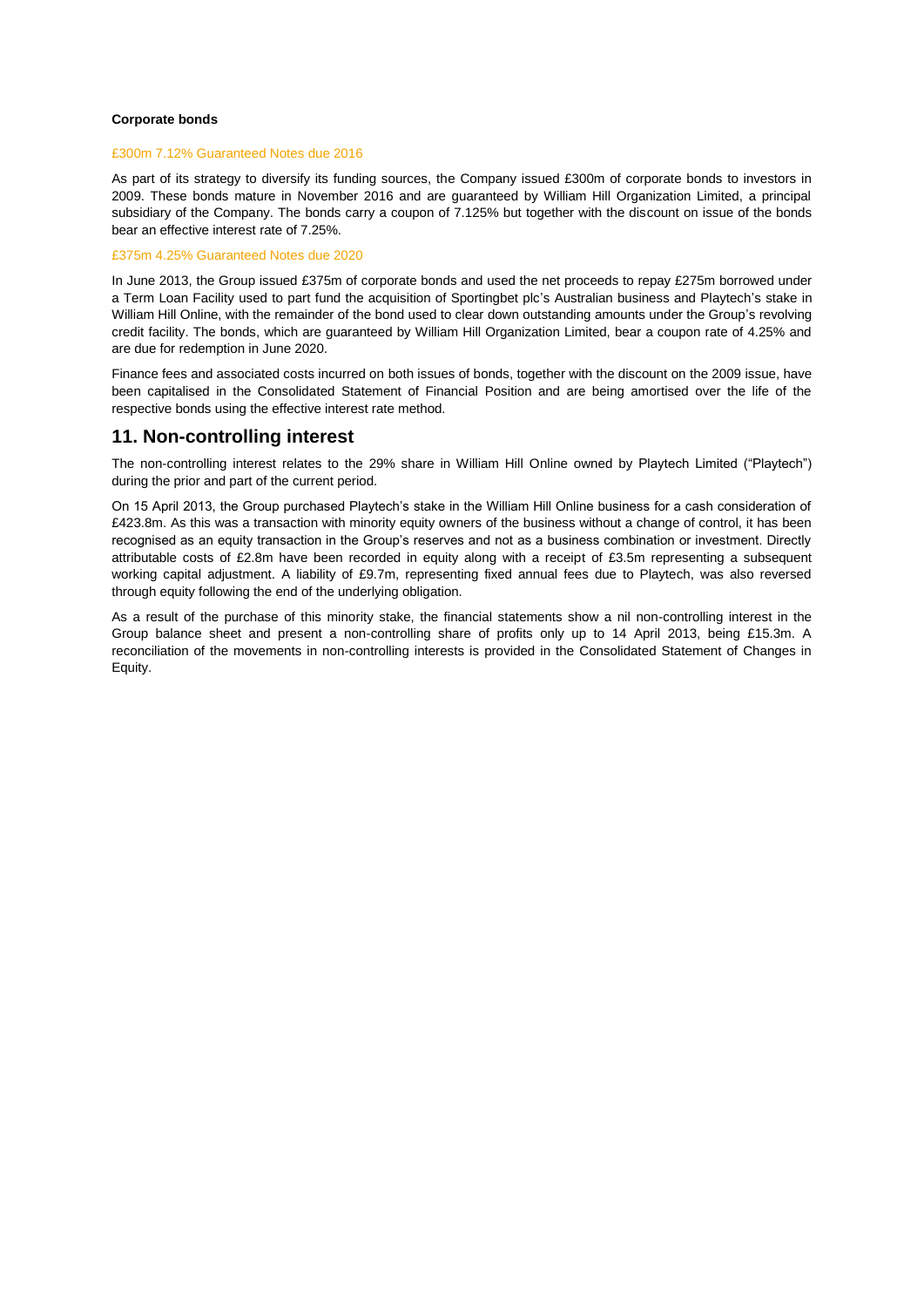#### **Corporate bonds**

#### £300m 7.12% Guaranteed Notes due 2016

As part of its strategy to diversify its funding sources, the Company issued £300m of corporate bonds to investors in 2009. These bonds mature in November 2016 and are guaranteed by William Hill Organization Limited, a principal subsidiary of the Company. The bonds carry a coupon of 7.125% but together with the discount on issue of the bonds bear an effective interest rate of 7.25%.

#### £375m 4.25% Guaranteed Notes due 2020

In June 2013, the Group issued £375m of corporate bonds and used the net proceeds to repay £275m borrowed under a Term Loan Facility used to part fund the acquisition of Sportingbet plc's Australian business and Playtech's stake in William Hill Online, with the remainder of the bond used to clear down outstanding amounts under the Group's revolving credit facility. The bonds, which are guaranteed by William Hill Organization Limited, bear a coupon rate of 4.25% and are due for redemption in June 2020.

Finance fees and associated costs incurred on both issues of bonds, together with the discount on the 2009 issue, have been capitalised in the Consolidated Statement of Financial Position and are being amortised over the life of the respective bonds using the effective interest rate method.

### **11. Non-controlling interest**

The non-controlling interest relates to the 29% share in William Hill Online owned by Playtech Limited ("Playtech") during the prior and part of the current period.

On 15 April 2013, the Group purchased Playtech's stake in the William Hill Online business for a cash consideration of £423.8m. As this was a transaction with minority equity owners of the business without a change of control, it has been recognised as an equity transaction in the Group's reserves and not as a business combination or investment. Directly attributable costs of £2.8m have been recorded in equity along with a receipt of £3.5m representing a subsequent working capital adjustment. A liability of £9.7m, representing fixed annual fees due to Playtech, was also reversed through equity following the end of the underlying obligation.

As a result of the purchase of this minority stake, the financial statements show a nil non-controlling interest in the Group balance sheet and present a non-controlling share of profits only up to 14 April 2013, being £15.3m. A reconciliation of the movements in non-controlling interests is provided in the Consolidated Statement of Changes in Equity.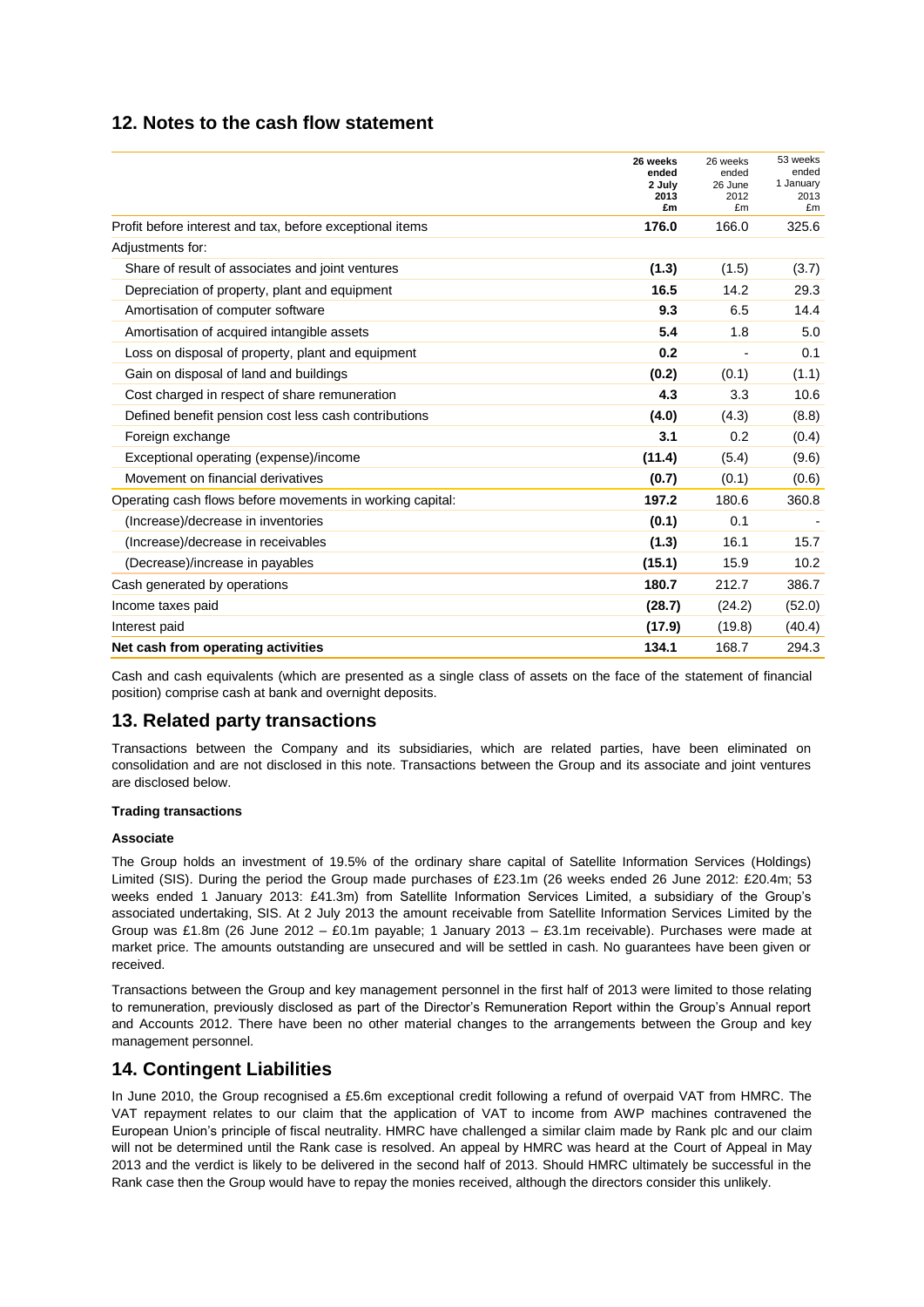### **12. Notes to the cash flow statement**

|                                                           | 26 weeks<br>ended<br>2 July<br>2013<br>£m | 26 weeks<br>ended<br>26 June<br>2012<br>£m | 53 weeks<br>ended<br>1 January<br>2013<br>£m |
|-----------------------------------------------------------|-------------------------------------------|--------------------------------------------|----------------------------------------------|
| Profit before interest and tax, before exceptional items  | 176.0                                     | 166.0                                      | 325.6                                        |
| Adjustments for:                                          |                                           |                                            |                                              |
| Share of result of associates and joint ventures          | (1.3)                                     | (1.5)                                      | (3.7)                                        |
| Depreciation of property, plant and equipment             | 16.5                                      | 14.2                                       | 29.3                                         |
| Amortisation of computer software                         | 9.3                                       | 6.5                                        | 14.4                                         |
| Amortisation of acquired intangible assets                | 5.4                                       | 1.8                                        | 5.0                                          |
| Loss on disposal of property, plant and equipment         | 0.2                                       |                                            | 0.1                                          |
| Gain on disposal of land and buildings                    | (0.2)                                     | (0.1)                                      | (1.1)                                        |
| Cost charged in respect of share remuneration             | 4.3                                       | 3.3                                        | 10.6                                         |
| Defined benefit pension cost less cash contributions      | (4.0)                                     | (4.3)                                      | (8.8)                                        |
| Foreign exchange                                          | 3.1                                       | 0.2                                        | (0.4)                                        |
| Exceptional operating (expense)/income                    | (11.4)                                    | (5.4)                                      | (9.6)                                        |
| Movement on financial derivatives                         | (0.7)                                     | (0.1)                                      | (0.6)                                        |
| Operating cash flows before movements in working capital: | 197.2                                     | 180.6                                      | 360.8                                        |
| (Increase)/decrease in inventories                        | (0.1)                                     | 0.1                                        |                                              |
| (Increase)/decrease in receivables                        | (1.3)                                     | 16.1                                       | 15.7                                         |
| (Decrease)/increase in payables                           | (15.1)                                    | 15.9                                       | 10.2                                         |
| Cash generated by operations                              | 180.7                                     | 212.7                                      | 386.7                                        |
| Income taxes paid                                         | (28.7)                                    | (24.2)                                     | (52.0)                                       |
| Interest paid                                             | (17.9)                                    | (19.8)                                     | (40.4)                                       |
| Net cash from operating activities                        | 134.1                                     | 168.7                                      | 294.3                                        |

Cash and cash equivalents (which are presented as a single class of assets on the face of the statement of financial position) comprise cash at bank and overnight deposits.

## **13. Related party transactions**

Transactions between the Company and its subsidiaries, which are related parties, have been eliminated on consolidation and are not disclosed in this note. Transactions between the Group and its associate and joint ventures are disclosed below.

#### **Trading transactions**

#### **Associate**

The Group holds an investment of 19.5% of the ordinary share capital of Satellite Information Services (Holdings) Limited (SIS). During the period the Group made purchases of £23.1m (26 weeks ended 26 June 2012: £20.4m; 53 weeks ended 1 January 2013: £41.3m) from Satellite Information Services Limited, a subsidiary of the Group's associated undertaking, SIS. At 2 July 2013 the amount receivable from Satellite Information Services Limited by the Group was £1.8m (26 June 2012 – £0.1m payable; 1 January 2013 – £3.1m receivable). Purchases were made at market price. The amounts outstanding are unsecured and will be settled in cash. No guarantees have been given or received.

Transactions between the Group and key management personnel in the first half of 2013 were limited to those relating to remuneration, previously disclosed as part of the Director's Remuneration Report within the Group's Annual report and Accounts 2012. There have been no other material changes to the arrangements between the Group and key management personnel.

## **14. Contingent Liabilities**

In June 2010, the Group recognised a £5.6m exceptional credit following a refund of overpaid VAT from HMRC. The VAT repayment relates to our claim that the application of VAT to income from AWP machines contravened the European Union's principle of fiscal neutrality. HMRC have challenged a similar claim made by Rank plc and our claim will not be determined until the Rank case is resolved. An appeal by HMRC was heard at the Court of Appeal in May 2013 and the verdict is likely to be delivered in the second half of 2013. Should HMRC ultimately be successful in the Rank case then the Group would have to repay the monies received, although the directors consider this unlikely.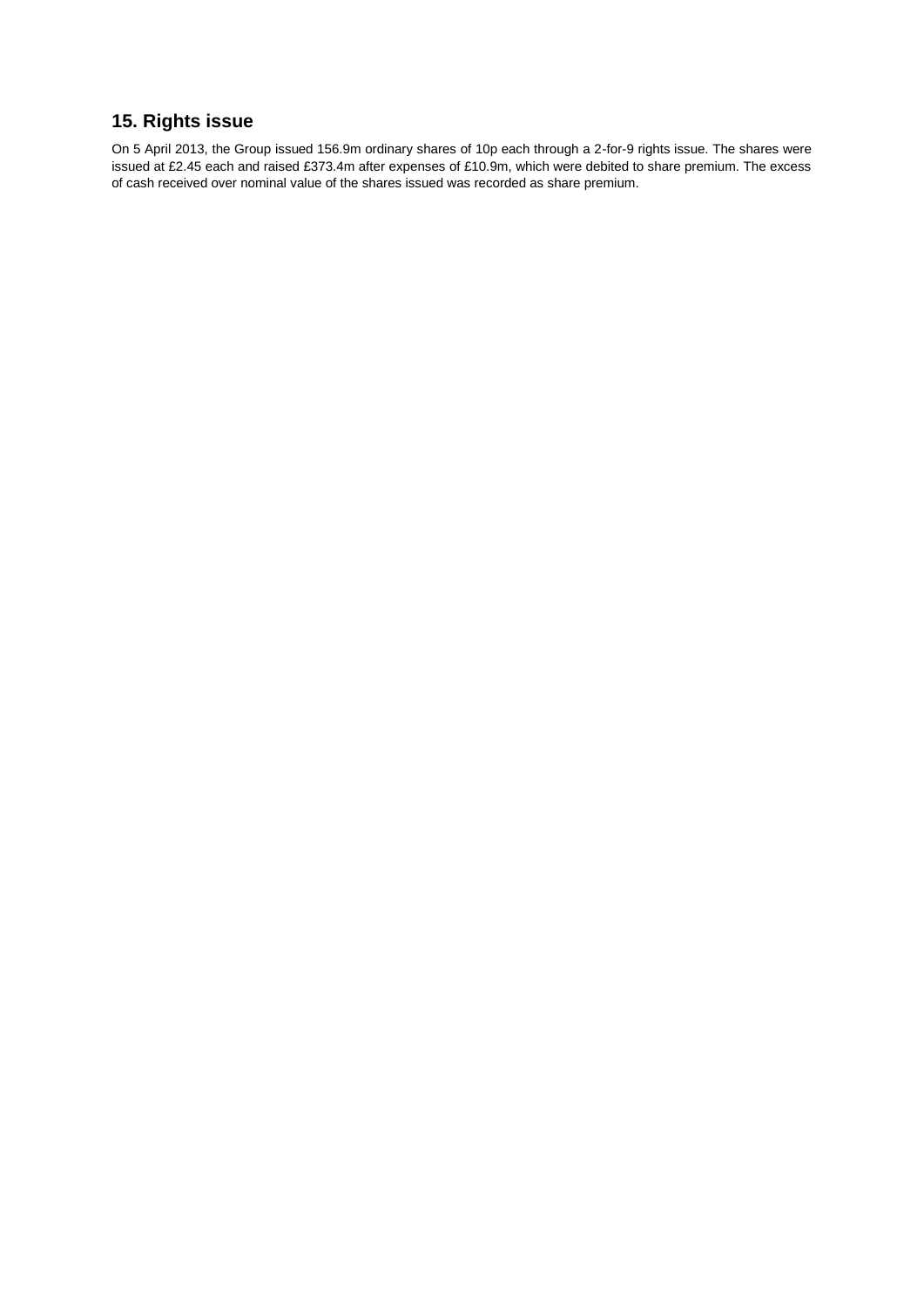# **15. Rights issue**

On 5 April 2013, the Group issued 156.9m ordinary shares of 10p each through a 2-for-9 rights issue. The shares were issued at £2.45 each and raised £373.4m after expenses of £10.9m, which were debited to share premium. The excess of cash received over nominal value of the shares issued was recorded as share premium.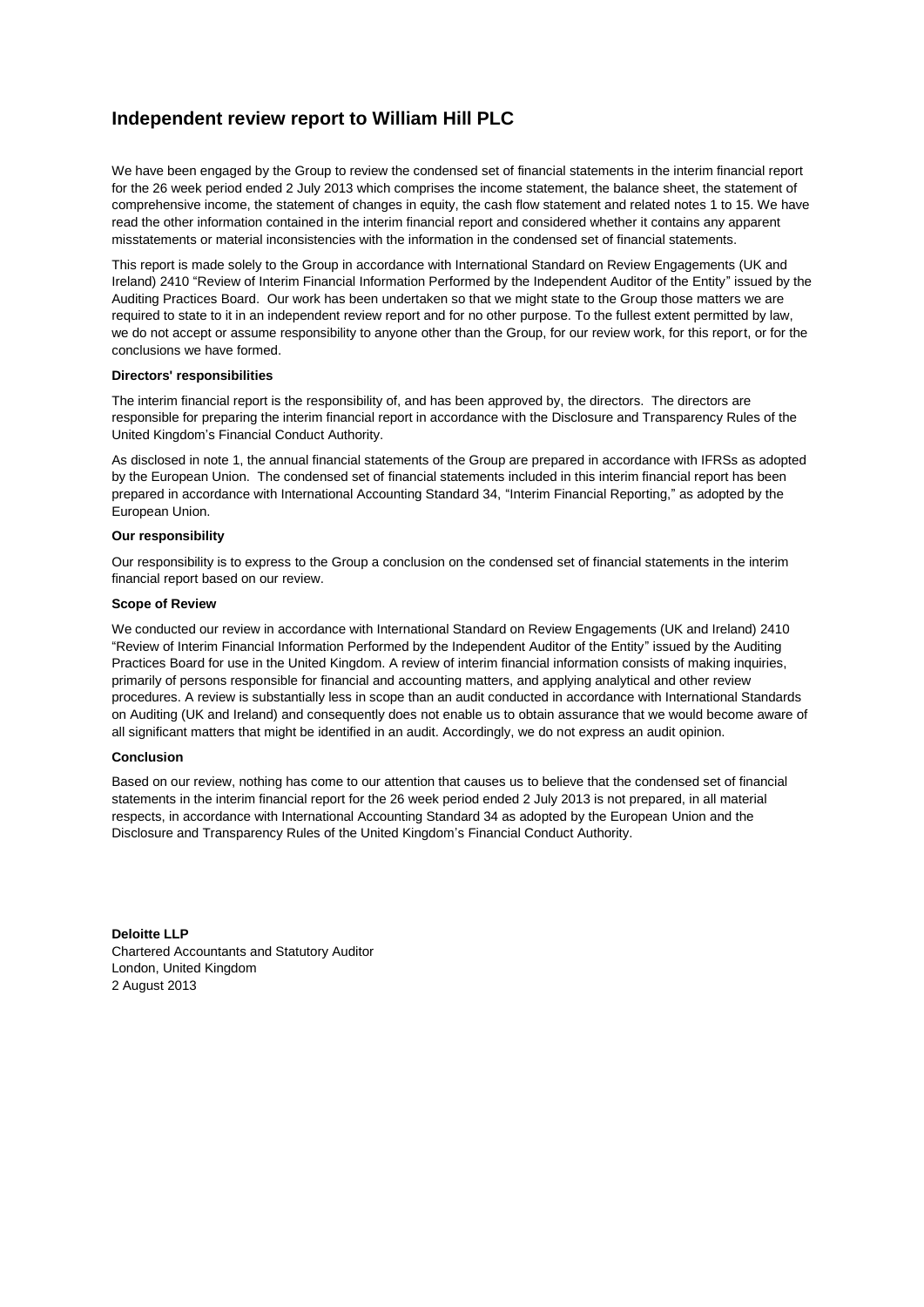# **Independent review report to William Hill PLC**

We have been engaged by the Group to review the condensed set of financial statements in the interim financial report for the 26 week period ended 2 July 2013 which comprises the income statement, the balance sheet, the statement of comprehensive income, the statement of changes in equity, the cash flow statement and related notes 1 to 15. We have read the other information contained in the interim financial report and considered whether it contains any apparent misstatements or material inconsistencies with the information in the condensed set of financial statements.

This report is made solely to the Group in accordance with International Standard on Review Engagements (UK and Ireland) 2410 "Review of Interim Financial Information Performed by the Independent Auditor of the Entity" issued by the Auditing Practices Board. Our work has been undertaken so that we might state to the Group those matters we are required to state to it in an independent review report and for no other purpose. To the fullest extent permitted by law, we do not accept or assume responsibility to anyone other than the Group, for our review work, for this report, or for the conclusions we have formed.

#### **Directors' responsibilities**

The interim financial report is the responsibility of, and has been approved by, the directors. The directors are responsible for preparing the interim financial report in accordance with the Disclosure and Transparency Rules of the United Kingdom's Financial Conduct Authority.

As disclosed in note 1, the annual financial statements of the Group are prepared in accordance with IFRSs as adopted by the European Union. The condensed set of financial statements included in this interim financial report has been prepared in accordance with International Accounting Standard 34, "Interim Financial Reporting," as adopted by the European Union.

#### **Our responsibility**

Our responsibility is to express to the Group a conclusion on the condensed set of financial statements in the interim financial report based on our review.

#### **Scope of Review**

We conducted our review in accordance with International Standard on Review Engagements (UK and Ireland) 2410 "Review of Interim Financial Information Performed by the Independent Auditor of the Entity" issued by the Auditing Practices Board for use in the United Kingdom. A review of interim financial information consists of making inquiries, primarily of persons responsible for financial and accounting matters, and applying analytical and other review procedures. A review is substantially less in scope than an audit conducted in accordance with International Standards on Auditing (UK and Ireland) and consequently does not enable us to obtain assurance that we would become aware of all significant matters that might be identified in an audit. Accordingly, we do not express an audit opinion.

#### **Conclusion**

Based on our review, nothing has come to our attention that causes us to believe that the condensed set of financial statements in the interim financial report for the 26 week period ended 2 July 2013 is not prepared, in all material respects, in accordance with International Accounting Standard 34 as adopted by the European Union and the Disclosure and Transparency Rules of the United Kingdom's Financial Conduct Authority.

**Deloitte LLP** Chartered Accountants and Statutory Auditor London, United Kingdom 2 August 2013